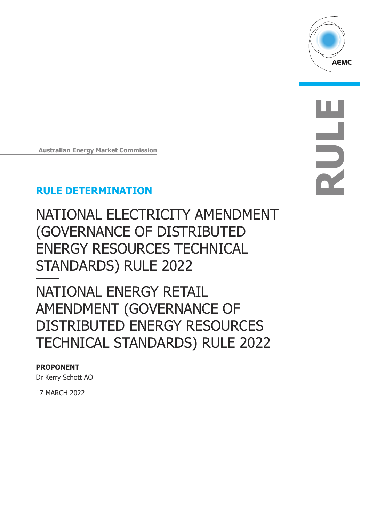

**RULE**

**Australian Energy Market Commission** 

# **RULE DETERMINATION**

NATIONAL ELECTRICITY AMENDMENT (GOVERNANCE OF DISTRIBUTED ENERGY RESOURCES TECHNICAL STANDARDS) RULE 2022

NATIONAL ENERGY RETAIL AMENDMENT (GOVERNANCE OF DISTRIBUTED ENERGY RESOURCES TECHNICAL STANDARDS) RULE 2022

### **PROPONENT**

Dr Kerry Schott AO

17 MARCH 2022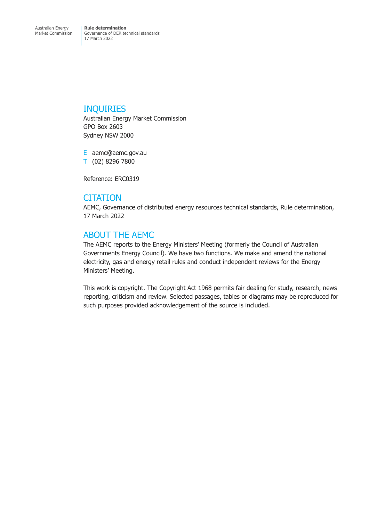### INQUIRIES

Australian Energy Market Commission GPO Box 2603 Sydney NSW 2000

E aemc@aemc.gov.au T (02) 8296 7800

Reference: ERC0319

# **CITATION**

AEMC, Governance of distributed energy resources technical standards, Rule determination, 17 March 2022

# ABOUT THE AEMC

The AEMC reports to the Energy Ministers' Meeting (formerly the Council of Australian Governments Energy Council). We have two functions. We make and amend the national electricity, gas and energy retail rules and conduct independent reviews for the Energy Ministers' Meeting.

This work is copyright. The Copyright Act 1968 permits fair dealing for study, research, news reporting, criticism and review. Selected passages, tables or diagrams may be reproduced for such purposes provided acknowledgement of the source is included.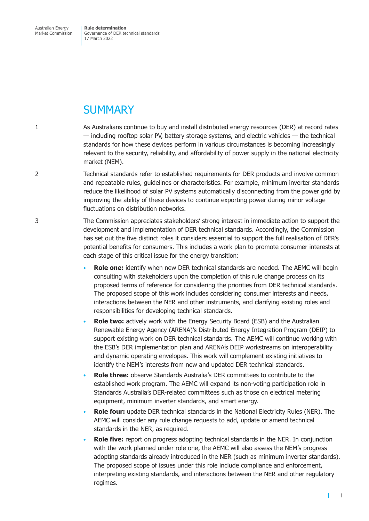**Rule determination**  Governance of DER technical standards 17 March 2022

# **SUMMARY**

- 1 As Australians continue to buy and install distributed energy resources (DER) at record rates — including rooftop solar PV, battery storage systems, and electric vehicles — the technical standards for how these devices perform in various circumstances is becoming increasingly relevant to the security, reliability, and affordability of power supply in the national electricity market (NEM).
- 2 Technical standards refer to established requirements for DER products and involve common and repeatable rules, guidelines or characteristics. For example, minimum inverter standards reduce the likelihood of solar PV systems automatically disconnecting from the power grid by improving the ability of these devices to continue exporting power during minor voltage fluctuations on distribution networks.
- 3 The Commission appreciates stakeholders' strong interest in immediate action to support the development and implementation of DER technical standards. Accordingly, the Commission has set out the five distinct roles it considers essential to support the full realisation of DER's potential benefits for consumers. This includes a work plan to promote consumer interests at each stage of this critical issue for the energy transition:
	- **Role one:** identify when new DER technical standards are needed. The AEMC will begin consulting with stakeholders upon the completion of this rule change process on its proposed terms of reference for considering the priorities from DER technical standards. The proposed scope of this work includes considering consumer interests and needs, interactions between the NER and other instruments, and clarifying existing roles and responsibilities for developing technical standards.
	- **Role two:** actively work with the Energy Security Board (ESB) and the Australian Renewable Energy Agency (ARENA)'s Distributed Energy Integration Program (DEIP) to support existing work on DER technical standards. The AEMC will continue working with the ESB's DER implementation plan and ARENA's DEIP workstreams on interoperability and dynamic operating envelopes. This work will complement existing initiatives to identify the NEM's interests from new and updated DER technical standards.
	- **Role three:** observe Standards Australia's DER committees to contribute to the established work program. The AEMC will expand its non-voting participation role in Standards Australia's DER-related committees such as those on electrical metering equipment, minimum inverter standards, and smart energy.
	- **Role four:** update DER technical standards in the National Electricity Rules (NER). The AEMC will consider any rule change requests to add, update or amend technical standards in the NER, as required.
	- **Role five:** report on progress adopting technical standards in the NER. In conjunction with the work planned under role one, the AEMC will also assess the NEM's progress adopting standards already introduced in the NER (such as minimum inverter standards). The proposed scope of issues under this role include compliance and enforcement, interpreting existing standards, and interactions between the NER and other regulatory regimes.

i

т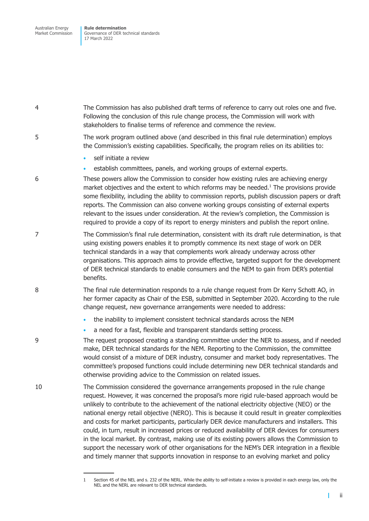**Rule determination**  Governance of DER technical standards 17 March 2022

4 The Commission has also published draft terms of reference to carry out roles one and five. Following the conclusion of this rule change process, the Commission will work with stakeholders to finalise terms of reference and commence the review.

5 The work program outlined above (and described in this final rule determination) employs the Commission's existing capabilities. Specifically, the program relies on its abilities to:

- self initiate a review
- establish committees, panels, and working groups of external experts.

6 These powers allow the Commission to consider how existing rules are achieving energy market objectives and the extent to which reforms may be needed. $<sup>1</sup>$  The provisions provide</sup> some flexibility, including the ability to commission reports, publish discussion papers or draft reports. The Commission can also convene working groups consisting of external experts relevant to the issues under consideration. At the review's completion, the Commission is required to provide a copy of its report to energy ministers and publish the report online.

- 7 The Commission's final rule determination, consistent with its draft rule determination, is that using existing powers enables it to promptly commence its next stage of work on DER technical standards in a way that complements work already underway across other organisations. This approach aims to provide effective, targeted support for the development of DER technical standards to enable consumers and the NEM to gain from DER's potential benefits.
- 8 The final rule determination responds to a rule change request from Dr Kerry Schott AO, in her former capacity as Chair of the ESB, submitted in September 2020. According to the rule change request, new governance arrangements were needed to address:
	- the inability to implement consistent technical standards across the NEM
	- a need for a fast, flexible and transparent standards setting process.

9 The request proposed creating a standing committee under the NER to assess, and if needed make, DER technical standards for the NEM. Reporting to the Commission, the committee would consist of a mixture of DER industry, consumer and market body representatives. The committee's proposed functions could include determining new DER technical standards and otherwise providing advice to the Commission on related issues.

10 The Commission considered the governance arrangements proposed in the rule change request. However, it was concerned the proposal's more rigid rule-based approach would be unlikely to contribute to the achievement of the national electricity objective (NEO) or the national energy retail objective (NERO). This is because it could result in greater complexities and costs for market participants, particularly DER device manufacturers and installers. This could, in turn, result in increased prices or reduced availability of DER devices for consumers in the local market. By contrast, making use of its existing powers allows the Commission to support the necessary work of other organisations for the NEM's DER integration in a flexible and timely manner that supports innovation in response to an evolving market and policy

 $\mathbf{I}$ 

<sup>1</sup> Section 45 of the NEL and s. 232 of the NERL. While the ability to self-initiate a review is provided in each energy law, only the NEL and the NERL are relevant to DER technical standards.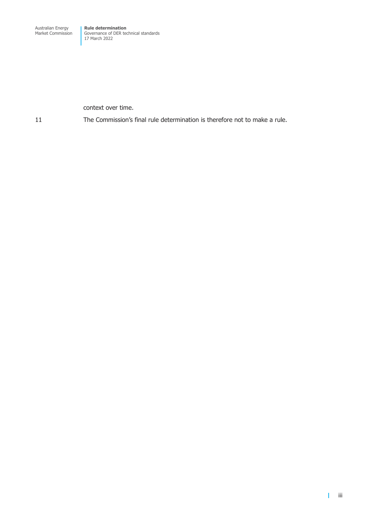context over time.

11 The Commission's final rule determination is therefore not to make a rule.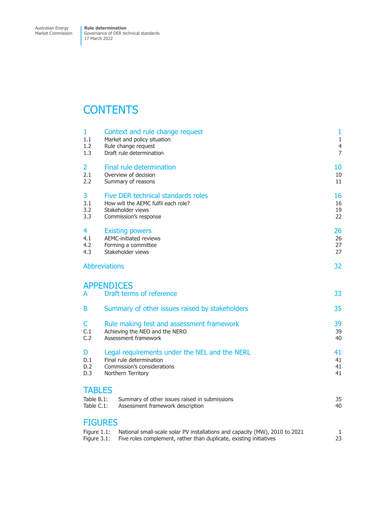# **CONTENTS**

| $\mathbf{1}$                                 | Context and rule change request                                                                                                                   | 1              |
|----------------------------------------------|---------------------------------------------------------------------------------------------------------------------------------------------------|----------------|
| 1.1                                          | Market and policy situation                                                                                                                       | $1\,$          |
| 1.2                                          | Rule change request                                                                                                                               | $\overline{4}$ |
| 1.3                                          | Draft rule determination                                                                                                                          | $\overline{7}$ |
| 2                                            | Final rule determination                                                                                                                          | 10             |
| 2.1                                          | Overview of decision                                                                                                                              | 10             |
| 2.2                                          | Summary of reasons                                                                                                                                | 11             |
| 3                                            | Five DER technical standards roles                                                                                                                | 16             |
| 3.1                                          | How will the AEMC fulfil each role?                                                                                                               | 16             |
| 3.2                                          | Stakeholder views                                                                                                                                 | 19             |
| 3.3                                          | Commission's response                                                                                                                             | 22             |
| 4                                            | <b>Existing powers</b>                                                                                                                            | 26             |
| 4.1                                          | <b>AEMC-initiated reviews</b>                                                                                                                     | 26             |
| 4.2                                          | Forming a committee                                                                                                                               | 27             |
| 4.3                                          | Stakeholder views                                                                                                                                 | 27             |
| <b>Abbreviations</b>                         |                                                                                                                                                   | 32             |
| <b>APPENDICES</b><br>A                       | Draft terms of reference                                                                                                                          | 33             |
| В                                            | Summary of other issues raised by stakeholders                                                                                                    | 35             |
| C                                            | Rule making test and assessment framework                                                                                                         | 39             |
| C.1                                          | Achieving the NEO and the NERO                                                                                                                    | 39             |
| C.2                                          | Assessment framework                                                                                                                              | 40             |
| D                                            | Legal requirements under the NEL and the NERL                                                                                                     | 41             |
| D.1                                          | Final rule determination                                                                                                                          | 41             |
| D.2                                          | Commission's considerations                                                                                                                       | 41             |
| D.3                                          | Northern Territory                                                                                                                                | 41             |
| <b>TABLES</b><br>Table B.1:<br>Table C.1:    | Summary of other issues raised in submissions<br>Assessment framework description                                                                 | 35<br>40       |
| <b>FIGURES</b><br>Figure 1.1:<br>Figure 3.1: | National small-scale solar PV installations and capacity (MW), 2010 to 2021<br>Five roles complement, rather than duplicate, existing initiatives | 1<br>23        |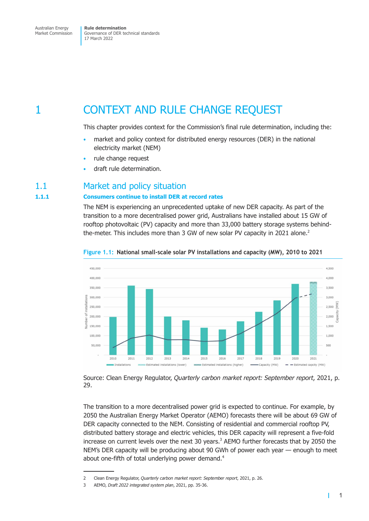<span id="page-6-0"></span>**Rule determination**  Governance of DER technical standards 17 March 2022

# 1 CONTEXT AND RULE CHANGE REQUEST

This chapter provides context for the Commission's final rule determination, including the:

- market and policy context for distributed energy resources (DER) in the national electricity market (NEM)
- rule change request
- draft rule determination.

### 1.1 Market and policy situation

### **1.1.1 Consumers continue to install DER at record rates**

The NEM is experiencing an unprecedented uptake of new DER capacity. As part of the transition to a more decentralised power grid, Australians have installed about 15 GW of rooftop photovoltaic (PV) capacity and more than 33,000 battery storage systems behindthe-meter. This includes more than 3 GW of new solar PV capacity in 2021 alone.<sup>2</sup>



#### **Figure 1.1: National small-scale solar PV installations and capacity (MW), 2010 to 2021**

Source: Clean Energy Regulator, *Quarterly carbon market report: September report*, 2021, p. 29.

The transition to a more decentralised power grid is expected to continue. For example, by 2050 the Australian Energy Market Operator (AEMO) forecasts there will be about 69 GW of DER capacity connected to the NEM. Consisting of residential and commercial rooftop PV, distributed battery storage and electric vehicles, this DER capacity will represent a five-fold increase on current levels over the next 30 years. $3$  AEMO further forecasts that by 2050 the NEM's DER capacity will be producing about 90 GWh of power each year — enough to meet about one-fifth of total underlying power demand.<sup>4</sup>

<span id="page-6-1"></span>T

<sup>2</sup> Clean Energy Regulator, *Quarterly carbon market report: September report*, 2021, p. 26.

<sup>3</sup> AEMO, *Draft 2022 integrated system plan*, 2021, pp. 35-36.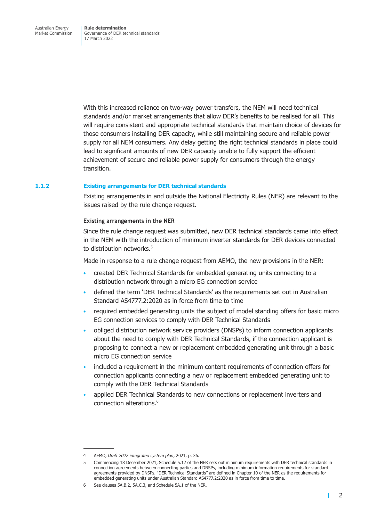With this increased reliance on two-way power transfers, the NEM will need technical standards and/or market arrangements that allow DER's benefits to be realised for all. This will require consistent and appropriate technical standards that maintain choice of devices for those consumers installing DER capacity, while still maintaining secure and reliable power supply for all NEM consumers. Any delay getting the right technical standards in place could lead to significant amounts of new DER capacity unable to fully support the efficient achievement of secure and reliable power supply for consumers through the energy transition.

#### **1.1.2 Existing arrangements for DER technical standards**

Existing arrangements in and outside the National Electricity Rules (NER) are relevant to the issues raised by the rule change request.

#### **Existing arrangements in the NER**

Since the rule change request was submitted, new DER technical standards came into effect in the NEM with the introduction of minimum inverter standards for DER devices connected to distribution networks.<sup>5</sup>

Made in response to a rule change request from AEMO, the new provisions in the NER:

- created DER Technical Standards for embedded generating units connecting to a distribution network through a micro EG connection service
- defined the term 'DER Technical Standards' as the requirements set out in Australian Standard AS4777.2:2020 as in force from time to time
- required embedded generating units the subject of model standing offers for basic micro EG connection services to comply with DER Technical Standards
- obliged distribution network service providers (DNSPs) to inform connection applicants about the need to comply with DER Technical Standards, if the connection applicant is proposing to connect a new or replacement embedded generating unit through a basic micro EG connection service
- included a requirement in the minimum content requirements of connection offers for connection applicants connecting a new or replacement embedded generating unit to comply with the DER Technical Standards
- applied DER Technical Standards to new connections or replacement inverters and connection alterations.6

<span id="page-7-0"></span>т

<sup>4</sup> AEMO, *Draft 2022 integrated system plan*, 2021, p. 36.

<sup>5</sup> Commencing 18 December 2021, Schedule 5.12 of the NER sets out minimum requirements with DER technical standards in connection agreements between connecting parties and DNSPs, including minimum information requirements for standard agreements provided by DNSPs. "DER Technical Standards" are defined in Chapter 10 of the NER as the requirements for embedded generating units under Australian Standard AS4777.2:2020 as in force from time to time.

<sup>6</sup> See clauses 5A.B.2, 5A.C.3, and Schedule 5A.1 of the NER.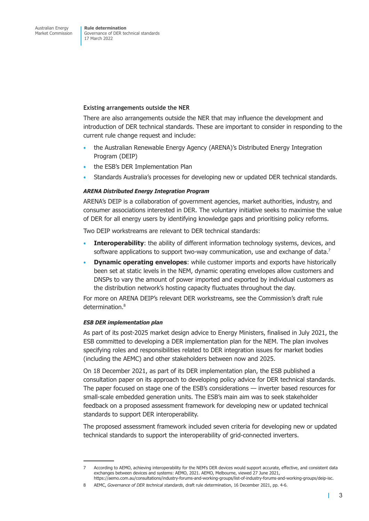#### **Existing arrangements outside the NER**

There are also arrangements outside the NER that may influence the development and introduction of DER technical standards. These are important to consider in responding to the current rule change request and include:

- the Australian Renewable Energy Agency (ARENA)'s Distributed Energy Integration Program (DEIP)
- the ESB's DER Implementation Plan
- Standards Australia's processes for developing new or updated DER technical standards.

#### *ARENA Distributed Energy Integration Program*

ARENA's DEIP is a collaboration of government agencies, market authorities, industry, and consumer associations interested in DER. The voluntary initiative seeks to maximise the value of DER for all energy users by identifying knowledge gaps and prioritising policy reforms.

Two DEIP workstreams are relevant to DER technical standards:

- **Interoperability:** the ability of different information technology systems, devices, and software applications to support two-way communication, use and exchange of data.<sup>7</sup>
- **Dynamic operating envelopes**: while customer imports and exports have historically been set at static levels in the NEM, dynamic operating envelopes allow customers and DNSPs to vary the amount of power imported and exported by individual customers as the distribution network's hosting capacity fluctuates throughout the day.

For more on ARENA DEIP's relevant DER workstreams, see the Commission's draft rule determination.<sup>8</sup>

#### *ESB DER implementation plan*

As part of its post-2025 market design advice to Energy Ministers, finalised in July 2021, the ESB committed to developing a DER implementation plan for the NEM. The plan involves specifying roles and responsibilities related to DER integration issues for market bodies (including the AEMC) and other stakeholders between now and 2025.

On 18 December 2021, as part of its DER implementation plan, the ESB published a consultation paper on its approach to developing policy advice for DER technical standards. The paper focused on stage one of the ESB's considerations — inverter based resources for small-scale embedded generation units. The ESB's main aim was to seek stakeholder feedback on a proposed assessment framework for developing new or updated technical standards to support DER interoperability.

The proposed assessment framework included seven criteria for developing new or updated technical standards to support the interoperability of grid-connected inverters.

г

<sup>7</sup> According to AEMO, achieving interoperability for the NEM's DER devices would support accurate, effective, and consistent data exchanges between devices and systems: AEMO, 2021. AEMO, Melbourne, viewed 27 June 2021, https://aemo.com.au/consultations/industry-forums-and-working-groups/list-of-industry-forums-and-working-groups/deip-isc.

<sup>8</sup> AEMC, *Governance of DER technical standards*, draft rule determination, 16 December 2021, pp. 4-6.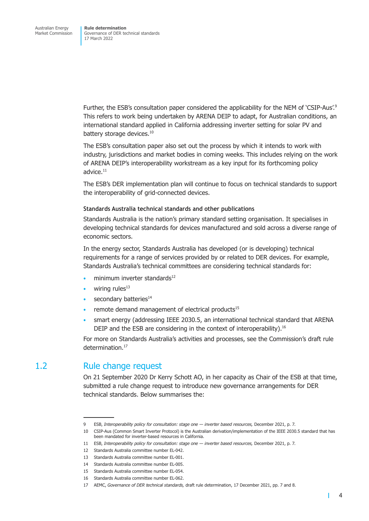<span id="page-9-0"></span>Further, the ESB's consultation paper considered the applicability for the NEM of 'CSIP-Aus'.<sup>9</sup> This refers to work being undertaken by ARENA DEIP to adapt, for Australian conditions, an international standard applied in California addressing inverter setting for solar PV and battery storage devices.<sup>10</sup>

The ESB's consultation paper also set out the process by which it intends to work with industry, jurisdictions and market bodies in coming weeks. This includes relying on the work of ARENA DEIP's interoperability workstream as a key input for its forthcoming policy advice. $11$ 

The ESB's DER implementation plan will continue to focus on technical standards to support the interoperability of grid-connected devices.

#### **Standards Australia technical standards and other publications**

Standards Australia is the nation's primary standard setting organisation. It specialises in developing technical standards for devices manufactured and sold across a diverse range of economic sectors.

In the energy sector, Standards Australia has developed (or is developing) technical requirements for a range of services provided by or related to DER devices. For example, Standards Australia's technical committees are considering technical standards for:

- minimum inverter standards $^{12}$
- wiring rules $13$
- secondary batteries<sup>14</sup>
- remote demand management of electrical products $15$
- smart energy (addressing IEEE 2030.5, an international technical standard that ARENA DEIP and the ESB are considering in the context of interoperability).<sup>16</sup>

For more on Standards Australia's activities and processes, see the Commission's draft rule determination.<sup>17</sup>

## 1.2 Rule change request

On 21 September 2020 Dr Kerry Schott AO, in her capacity as Chair of the ESB at that time, submitted a rule change request to introduce new governance arrangements for DER technical standards. Below summarises the:

<sup>9</sup> ESB, *Interoperability policy for consultation: stage one — inverter based resources,* December 2021, p. 7.

<sup>10</sup> CSIP-Aus (Common Smart Inverter Protocol) is the Australian derivation/implementation of the IEEE 2030.5 standard that has been mandated for inverter-based resources in California.

<sup>11</sup> ESB, *Interoperability policy for consultation: stage one — inverter based resources,* December 2021, p. 7.

<sup>12</sup> Standards Australia committee number EL-042.

<sup>13</sup> Standards Australia committee number EL-001.

<sup>14</sup> Standards Australia committee number EL-005.

<sup>15</sup> Standards Australia committee number EL-054.

<sup>16</sup> Standards Australia committee number EL-062.

<sup>17</sup> AEMC, *Governance of DER technical standards,* draft rule determination, 17 December 2021, pp. 7 and 8.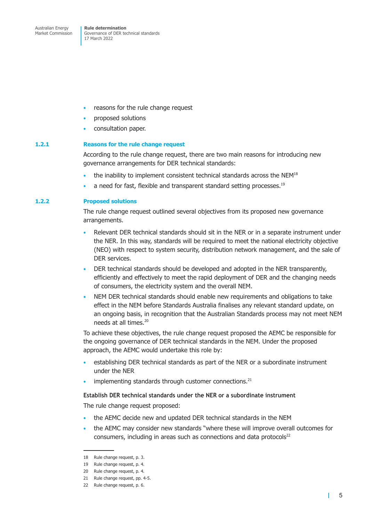- reasons for the rule change request
- proposed solutions
- consultation paper.

#### **1.2.1 Reasons for the rule change request**

According to the rule change request, there are two main reasons for introducing new governance arrangements for DER technical standards:

- the inability to implement consistent technical standards across the NEM<sup>18</sup>
- a need for fast, flexible and transparent standard setting processes.<sup>19</sup>

#### **1.2.2 Proposed solutions**

The rule change request outlined several objectives from its proposed new governance arrangements.

- Relevant DER technical standards should sit in the NER or in a separate instrument under the NER. In this way, standards will be required to meet the national electricity objective (NEO) with respect to system security, distribution network management, and the sale of DER services.
- DER technical standards should be developed and adopted in the NER transparently, efficiently and effectively to meet the rapid deployment of DER and the changing needs of consumers, the electricity system and the overall NEM.
- NEM DER technical standards should enable new requirements and obligations to take effect in the NEM before Standards Australia finalises any relevant standard update, on an ongoing basis, in recognition that the Australian Standards process may not meet NEM needs at all times.<sup>20</sup>

To achieve these objectives, the rule change request proposed the AEMC be responsible for the ongoing governance of DER technical standards in the NEM. Under the proposed approach, the AEMC would undertake this role by:

- establishing DER technical standards as part of the NER or a subordinate instrument under the NER
- implementing standards through customer connections.<sup>21</sup>

#### **Establish DER technical standards under the NER or a subordinate instrument**

The rule change request proposed:

- the AEMC decide new and updated DER technical standards in the NEM
- the AEMC may consider new standards "where these will improve overall outcomes for consumers, including in areas such as connections and data protocols $22$

т

<sup>18</sup> Rule change request, p. 3.

<sup>19</sup> Rule change request, p. 4.

<sup>20</sup> Rule change request, p. 4.

<sup>21</sup> Rule change request, pp. 4-5.

<sup>22</sup> Rule change request, p. 6.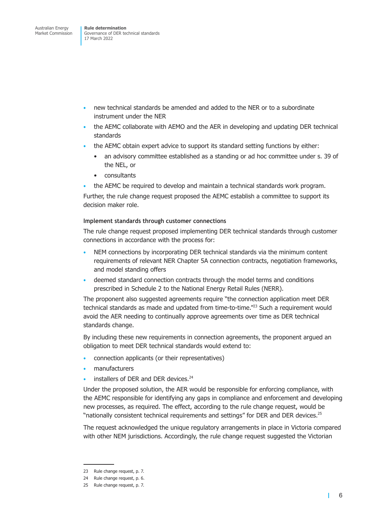- new technical standards be amended and added to the NER or to a subordinate instrument under the NER
- the AEMC collaborate with AEMO and the AER in developing and updating DER technical standards
- the AEMC obtain expert advice to support its standard setting functions by either:
	- an advisory committee established as a standing or ad hoc committee under s. 39 of the NEL, or
	- consultants
- the AEMC be required to develop and maintain a technical standards work program.

Further, the rule change request proposed the AEMC establish a committee to support its decision maker role.

#### **Implement standards through customer connections**

The rule change request proposed implementing DER technical standards through customer connections in accordance with the process for:

- NEM connections by incorporating DER technical standards via the minimum content requirements of relevant NER Chapter 5A connection contracts, negotiation frameworks, and model standing offers
- deemed standard connection contracts through the model terms and conditions prescribed in Schedule 2 to the National Energy Retail Rules (NERR).

The proponent also suggested agreements require "the connection application meet DER technical standards as made and updated from time-to-time."<sup>23</sup> Such a requirement would avoid the AER needing to continually approve agreements over time as DER technical standards change.

By including these new requirements in connection agreements, the proponent argued an obligation to meet DER technical standards would extend to:

- connection applicants (or their representatives)
- manufacturers
- installers of DER and DER devices.<sup>24</sup>

Under the proposed solution, the AER would be responsible for enforcing compliance, with the AEMC responsible for identifying any gaps in compliance and enforcement and developing new processes, as required. The effect, according to the rule change request, would be "nationally consistent technical requirements and settings" for DER and DER devices.<sup>25</sup>

The request acknowledged the unique regulatory arrangements in place in Victoria compared with other NEM jurisdictions. Accordingly, the rule change request suggested the Victorian

т

<sup>23</sup> Rule change request, p. 7.

<sup>24</sup> Rule change request, p. 6.

<sup>25</sup> Rule change request, p. 7.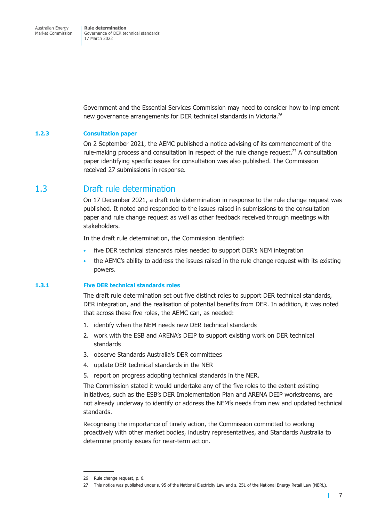<span id="page-12-0"></span>Government and the Essential Services Commission may need to consider how to implement new governance arrangements for DER technical standards in Victoria.<sup>26</sup>

#### **1.2.3 Consultation paper**

On 2 September 2021, the AEMC published a notice advising of its commencement of the rule-making process and consultation in respect of the rule change request.<sup>27</sup> A consultation paper identifying specific issues for consultation was also published. The Commission received 27 submissions in response.

### 1.3 Draft rule determination

On 17 December 2021, a draft rule determination in response to the rule change request was published. It noted and responded to the issues raised in submissions to the consultation paper and rule change request as well as other feedback received through meetings with stakeholders.

In the draft rule determination, the Commission identified:

- five DER technical standards roles needed to support DER's NEM integration
- the AEMC's ability to address the issues raised in the rule change request with its existing powers.

#### **1.3.1 Five DER technical standards roles**

The draft rule determination set out five distinct roles to support DER technical standards, DER integration, and the realisation of potential benefits from DER. In addition, it was noted that across these five roles, the AEMC can, as needed:

- 1. identify when the NEM needs new DER technical standards
- 2. work with the ESB and ARENA's DEIP to support existing work on DER technical standards
- 3. observe Standards Australia's DER committees
- 4. update DER technical standards in the NER
- 5. report on progress adopting technical standards in the NER.

The Commission stated it would undertake any of the five roles to the extent existing initiatives, such as the ESB's DER Implementation Plan and ARENA DEIP workstreams, are not already underway to identify or address the NEM's needs from new and updated technical standards.

Recognising the importance of timely action, the Commission committed to working proactively with other market bodies, industry representatives, and Standards Australia to determine priority issues for near-term action.

 $\mathbf{I}$ 

<sup>26</sup> Rule change request, p. 6.

<sup>27</sup> This notice was published under s. 95 of the National Electricity Law and s. 251 of the National Energy Retail Law (NERL).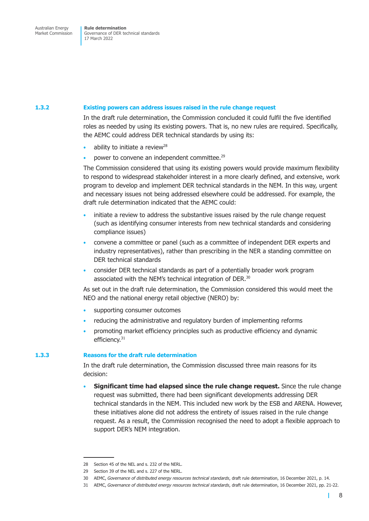#### **1.3.2 Existing powers can address issues raised in the rule change request**

In the draft rule determination, the Commission concluded it could fulfil the five identified roles as needed by using its existing powers. That is, no new rules are required. Specifically, the AEMC could address DER technical standards by using its:

- ability to initiate a review<sup>28</sup>
- power to convene an independent committee.<sup>29</sup>

The Commission considered that using its existing powers would provide maximum flexibility to respond to widespread stakeholder interest in a more clearly defined, and extensive, work program to develop and implement DER technical standards in the NEM. In this way, urgent and necessary issues not being addressed elsewhere could be addressed. For example, the draft rule determination indicated that the AEMC could:

- initiate a review to address the substantive issues raised by the rule change request (such as identifying consumer interests from new technical standards and considering compliance issues)
- convene a committee or panel (such as a committee of independent DER experts and industry representatives), rather than prescribing in the NER a standing committee on DER technical standards
- consider DER technical standards as part of a potentially broader work program associated with the NEM's technical integration of DER.<sup>30</sup>

As set out in the draft rule determination, the Commission considered this would meet the NEO and the national energy retail objective (NERO) by:

- supporting consumer outcomes
- reducing the administrative and regulatory burden of implementing reforms
- promoting market efficiency principles such as productive efficiency and dynamic efficiency.31

#### **1.3.3 Reasons for the draft rule determination**

In the draft rule determination, the Commission discussed three main reasons for its decision:

• **Significant time had elapsed since the rule change request.** Since the rule change request was submitted, there had been significant developments addressing DER technical standards in the NEM. This included new work by the ESB and ARENA. However, these initiatives alone did not address the entirety of issues raised in the rule change request. As a result, the Commission recognised the need to adopt a flexible approach to support DER's NEM integration.

т

<sup>28</sup> Section 45 of the NEL and s. 232 of the NERL.

<sup>29</sup> Section 39 of the NEL and s. 227 of the NERL.

<sup>30</sup> AEMC, *Governance of distributed energy resources technical standards*, draft rule determination, 16 December 2021, p. 14.

<sup>31</sup> AEMC, *Governance of distributed energy resources technical standards*, draft rule determination, 16 December 2021, pp. 21-22.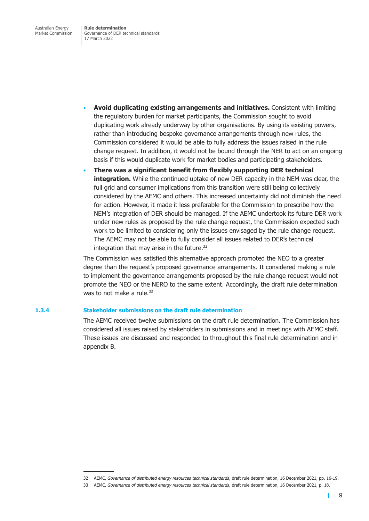- **Avoid duplicating existing arrangements and initiatives.** Consistent with limiting the regulatory burden for market participants, the Commission sought to avoid duplicating work already underway by other organisations. By using its existing powers, rather than introducing bespoke governance arrangements through new rules, the Commission considered it would be able to fully address the issues raised in the rule change request. In addition, it would not be bound through the NER to act on an ongoing basis if this would duplicate work for market bodies and participating stakeholders.
- **There was a significant benefit from flexibly supporting DER technical integration.** While the continued uptake of new DER capacity in the NEM was clear, the full grid and consumer implications from this transition were still being collectively considered by the AEMC and others. This increased uncertainty did not diminish the need for action. However, it made it less preferable for the Commission to prescribe how the NEM's integration of DER should be managed. If the AEMC undertook its future DER work under new rules as proposed by the rule change request, the Commission expected such work to be limited to considering only the issues envisaged by the rule change request. The AEMC may not be able to fully consider all issues related to DER's technical integration that may arise in the future.<sup>32</sup>

The Commission was satisfied this alternative approach promoted the NEO to a greater degree than the request's proposed governance arrangements. It considered making a rule to implement the governance arrangements proposed by the rule change request would not promote the NEO or the NERO to the same extent. Accordingly, the draft rule determination was to not make a rule. $33$ 

#### **1.3.4 Stakeholder submissions on the draft rule determination**

The AEMC received twelve submissions on the draft rule determination. The Commission has considered all issues raised by stakeholders in submissions and in meetings with AEMC staff. These issues are discussed and responded to throughout this final rule determination and in [appendix B.](#page-40-0)

П

<sup>32</sup> AEMC, *Governance of distributed energy resources technical standards*, draft rule determination, 16 December 2021, pp. 16-19.

<sup>33</sup> AEMC, *Governance of distributed energy resources technical standards*, draft rule determination, 16 December 2021, p. 18.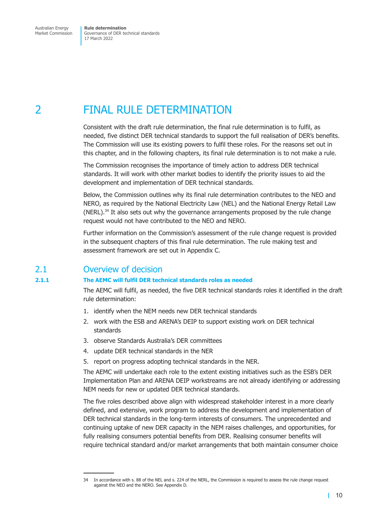# <span id="page-15-0"></span>2 FINAL RULE DETERMINATION

<span id="page-15-1"></span>Consistent with the draft rule determination, the final rule determination is to fulfil, as needed, five distinct DER technical standards to support the full realisation of DER's benefits. The Commission will use its existing powers to fulfil these roles. For the reasons set out in this chapter, and in the following chapters, its final rule determination is to not make a rule.

The Commission recognises the importance of timely action to address DER technical standards. It will work with other market bodies to identify the priority issues to aid the development and implementation of DER technical standards.

Below, the Commission outlines why its final rule determination contributes to the NEO and NERO, as required by the National Electricity Law (NEL) and the National Energy Retail Law (NERL). $34$  It also sets out why the governance arrangements proposed by the rule change request would not have contributed to the NEO and NERO.

Further information on the Commission's assessment of the rule change request is provided in the subsequent chapters of this final rule determination. The rule making test and assessment framework are set out in Appendix C.

# 2.1 Overview of decision

#### **2.1.1 The AEMC will fulfil DER technical standards roles as needed**

The AEMC will fulfil, as needed, the five DER technical standards roles it identified in the draft rule determination:

- 1. identify when the NEM needs new DER technical standards
- 2. work with the ESB and ARENA's DEIP to support existing work on DER technical standards
- 3. observe Standards Australia's DER committees
- 4. update DER technical standards in the NER
- 5. report on progress adopting technical standards in the NER.

The AEMC will undertake each role to the extent existing initiatives such as the ESB's DER Implementation Plan and ARENA DEIP workstreams are not already identifying or addressing NEM needs for new or updated DER technical standards.

The five roles described above align with widespread stakeholder interest in a more clearly defined, and extensive, work program to address the development and implementation of DER technical standards in the long-term interests of consumers. The unprecedented and continuing uptake of new DER capacity in the NEM raises challenges, and opportunities, for fully realising consumers potential benefits from DER. Realising consumer benefits will require technical standard and/or market arrangements that both maintain consumer choice

<sup>34</sup> In accordance with s. 88 of the NEL and s. 224 of the NERL, the Commission is required to assess the rule change request against the NEO and the NERO. See Appendix D.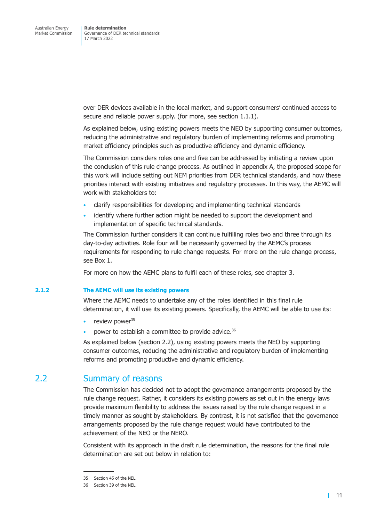<span id="page-16-0"></span>over DER devices available in the local market, and support consumers' continued access to secure and reliable power supply. (for more, see [section 1.1.1\)](#page-6-1).

As explained below, using existing powers meets the NEO by supporting consumer outcomes, reducing the administrative and regulatory burden of implementing reforms and promoting market efficiency principles such as productive efficiency and dynamic efficiency.

The Commission considers roles one and five can be addressed by initiating a review upon the conclusion of this rule change process. As outlined in [appendix A,](#page-38-1) the proposed scope for this work will include setting out NEM priorities from DER technical standards, and how these priorities interact with existing initiatives and regulatory processes. In this way, the AEMC will work with stakeholders to:

- clarify responsibilities for developing and implementing technical standards
- identify where further action might be needed to support the development and implementation of specific technical standards.

The Commission further considers it can continue fulfilling roles two and three through its day-to-day activities. Role four will be necessarily governed by the AEMC's process requirements for responding to rule change requests. For more on the rule change process, see [Box 1.](#page-23-0)

For more on how the AEMC plans to fulfil each of these roles, see [chapter 3.](#page-21-1)

#### **2.1.2 The AEMC will use its existing powers**

Where the AEMC needs to undertake any of the roles identified in this final rule determination, it will use its existing powers. Specifically, the AEMC will be able to use its:

- review power<sup>35</sup>
- power to establish a committee to provide advice.<sup>36</sup>

As explained below [\(section 2.2\)](#page-16-1), using existing powers meets the NEO by supporting consumer outcomes, reducing the administrative and regulatory burden of implementing reforms and promoting productive and dynamic efficiency.

### 2.2 Summary of reasons

<span id="page-16-1"></span>The Commission has decided not to adopt the governance arrangements proposed by the rule change request. Rather, it considers its existing powers as set out in the energy laws provide maximum flexibility to address the issues raised by the rule change request in a timely manner as sought by stakeholders. By contrast, it is not satisfied that the governance arrangements proposed by the rule change request would have contributed to the achievement of the NEO or the NERO.

Consistent with its approach in the draft rule determination, the reasons for the final rule determination are set out below in relation to:

<sup>35</sup> Section 45 of the NEL.

<sup>36</sup> Section 39 of the NEL.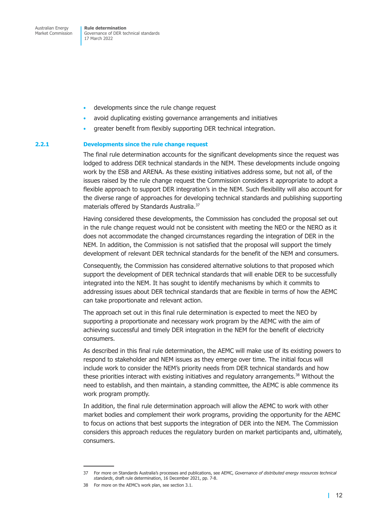**Rule determination**  Governance of DER technical standards 17 March 2022

- developments since the rule change request
- avoid duplicating existing governance arrangements and initiatives
- greater benefit from flexibly supporting DER technical integration.

#### **2.2.1 Developments since the rule change request**

The final rule determination accounts for the significant developments since the request was lodged to address DER technical standards in the NEM. These developments include ongoing work by the ESB and ARENA. As these existing initiatives address some, but not all, of the issues raised by the rule change request the Commission considers it appropriate to adopt a flexible approach to support DER integration's in the NEM. Such flexibility will also account for the diverse range of approaches for developing technical standards and publishing supporting materials offered by Standards Australia.37

Having considered these developments, the Commission has concluded the proposal set out in the rule change request would not be consistent with meeting the NEO or the NERO as it does not accommodate the changed circumstances regarding the integration of DER in the NEM. In addition, the Commission is not satisfied that the proposal will support the timely development of relevant DER technical standards for the benefit of the NEM and consumers.

Consequently, the Commission has considered alternative solutions to that proposed which support the development of DER technical standards that will enable DER to be successfully integrated into the NEM. It has sought to identify mechanisms by which it commits to addressing issues about DER technical standards that are flexible in terms of how the AEMC can take proportionate and relevant action.

The approach set out in this final rule determination is expected to meet the NEO by supporting a proportionate and necessary work program by the AEMC with the aim of achieving successful and timely DER integration in the NEM for the benefit of electricity consumers.

As described in this final rule determination, the AEMC will make use of its existing powers to respond to stakeholder and NEM issues as they emerge over time. The initial focus will include work to consider the NEM's priority needs from DER technical standards and how these priorities interact with existing initiatives and regulatory arrangements.<sup>38</sup> Without the need to establish, and then maintain, a standing committee, the AEMC is able commence its work program promptly.

In addition, the final rule determination approach will allow the AEMC to work with other market bodies and complement their work programs, providing the opportunity for the AEMC to focus on actions that best supports the integration of DER into the NEM. The Commission considers this approach reduces the regulatory burden on market participants and, ultimately, consumers.

<sup>37</sup> For more on Standards Australia's processes and publications, see AEMC, *Governance of distributed energy resources technical standards*, draft rule determination, 16 December 2021, pp. 7-8.

<sup>38</sup> For more on the AEMC's work plan, see [section 3.1.](#page-21-2)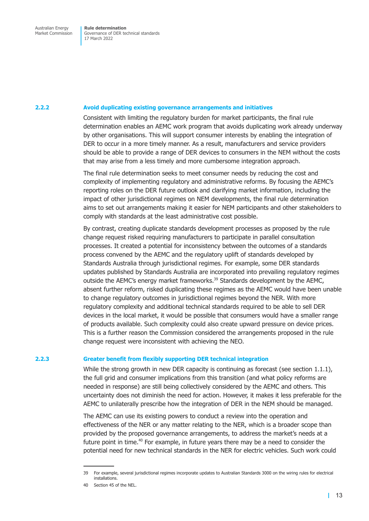#### **2.2.2 Avoid duplicating existing governance arrangements and initiatives**

Consistent with limiting the regulatory burden for market participants, the final rule determination enables an AEMC work program that avoids duplicating work already underway by other organisations. This will support consumer interests by enabling the integration of DER to occur in a more timely manner. As a result, manufacturers and service providers should be able to provide a range of DER devices to consumers in the NEM without the costs that may arise from a less timely and more cumbersome integration approach.

The final rule determination seeks to meet consumer needs by reducing the cost and complexity of implementing regulatory and administrative reforms. By focusing the AEMC's reporting roles on the DER future outlook and clarifying market information, including the impact of other jurisdictional regimes on NEM developments, the final rule determination aims to set out arrangements making it easier for NEM participants and other stakeholders to comply with standards at the least administrative cost possible.

By contrast, creating duplicate standards development processes as proposed by the rule change request risked requiring manufacturers to participate in parallel consultation processes. It created a potential for inconsistency between the outcomes of a standards process convened by the AEMC and the regulatory uplift of standards developed by Standards Australia through jurisdictional regimes. For example, some DER standards updates published by Standards Australia are incorporated into prevailing regulatory regimes outside the AEMC's energy market frameworks.<sup>39</sup> Standards development by the AEMC, absent further reform, risked duplicating these regimes as the AEMC would have been unable to change regulatory outcomes in jurisdictional regimes beyond the NER. With more regulatory complexity and additional technical standards required to be able to sell DER devices in the local market, it would be possible that consumers would have a smaller range of products available. Such complexity could also create upward pressure on device prices. This is a further reason the Commission considered the arrangements proposed in the rule change request were inconsistent with achieving the NEO.

#### **2.2.3 Greater benefit from flexibly supporting DER technical integration**

While the strong growth in new DER capacity is continuing as forecast (see [section 1.1.1\)](#page-6-1), the full grid and consumer implications from this transition (and what policy reforms are needed in response) are still being collectively considered by the AEMC and others. This uncertainty does not diminish the need for action. However, it makes it less preferable for the AEMC to unilaterally prescribe how the integration of DER in the NEM should be managed.

The AEMC can use its existing powers to conduct a review into the operation and effectiveness of the NER or any matter relating to the NER, which is a broader scope than provided by the proposed governance arrangements, to address the market's needs at a future point in time.<sup>40</sup> For example, in future years there may be a need to consider the potential need for new technical standards in the NER for electric vehicles. Such work could

<sup>39</sup> For example, several jurisdictional regimes incorporate updates to Australian Standards 3000 on the wiring rules for electrical installations.

<sup>40</sup> Section 45 of the NEL.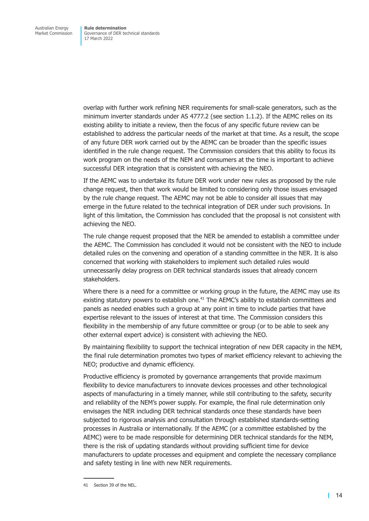overlap with further work refining NER requirements for small-scale generators, such as the minimum inverter standards under AS 4777.2 (see [section 1.1.2\)](#page-7-0). If the AEMC relies on its existing ability to initiate a review, then the focus of any specific future review can be established to address the particular needs of the market at that time. As a result, the scope of any future DER work carried out by the AEMC can be broader than the specific issues identified in the rule change request. The Commission considers that this ability to focus its work program on the needs of the NEM and consumers at the time is important to achieve successful DER integration that is consistent with achieving the NEO.

If the AEMC was to undertake its future DER work under new rules as proposed by the rule change request, then that work would be limited to considering only those issues envisaged by the rule change request. The AEMC may not be able to consider all issues that may emerge in the future related to the technical integration of DER under such provisions. In light of this limitation, the Commission has concluded that the proposal is not consistent with achieving the NEO.

The rule change request proposed that the NER be amended to establish a committee under the AEMC. The Commission has concluded it would not be consistent with the NEO to include detailed rules on the convening and operation of a standing committee in the NER. It is also concerned that working with stakeholders to implement such detailed rules would unnecessarily delay progress on DER technical standards issues that already concern stakeholders.

Where there is a need for a committee or working group in the future, the AEMC may use its existing statutory powers to establish one. $41$  The AEMC's ability to establish committees and panels as needed enables such a group at any point in time to include parties that have expertise relevant to the issues of interest at that time. The Commission considers this flexibility in the membership of any future committee or group (or to be able to seek any other external expert advice) is consistent with achieving the NEO.

By maintaining flexibility to support the technical integration of new DER capacity in the NEM, the final rule determination promotes two types of market efficiency relevant to achieving the NEO; productive and dynamic efficiency.

Productive efficiency is promoted by governance arrangements that provide maximum flexibility to device manufacturers to innovate devices processes and other technological aspects of manufacturing in a timely manner, while still contributing to the safety, security and reliability of the NEM's power supply. For example, the final rule determination only envisages the NER including DER technical standards once these standards have been subjected to rigorous analysis and consultation through established standards-setting processes in Australia or internationally. If the AEMC (or a committee established by the AEMC) were to be made responsible for determining DER technical standards for the NEM, there is the risk of updating standards without providing sufficient time for device manufacturers to update processes and equipment and complete the necessary compliance and safety testing in line with new NER requirements.

<sup>41</sup> Section 39 of the NEL.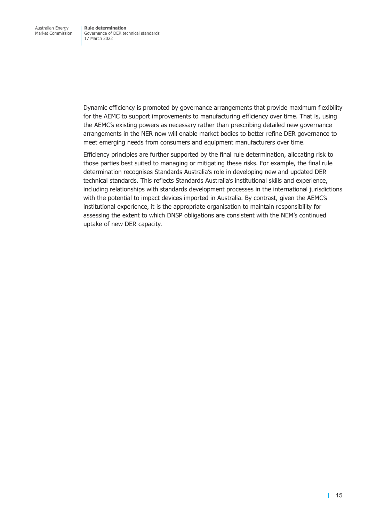Dynamic efficiency is promoted by governance arrangements that provide maximum flexibility for the AEMC to support improvements to manufacturing efficiency over time. That is, using the AEMC's existing powers as necessary rather than prescribing detailed new governance arrangements in the NER now will enable market bodies to better refine DER governance to meet emerging needs from consumers and equipment manufacturers over time.

Efficiency principles are further supported by the final rule determination, allocating risk to those parties best suited to managing or mitigating these risks. For example, the final rule determination recognises Standards Australia's role in developing new and updated DER technical standards. This reflects Standards Australia's institutional skills and experience, including relationships with standards development processes in the international jurisdictions with the potential to impact devices imported in Australia. By contrast, given the AEMC's institutional experience, it is the appropriate organisation to maintain responsibility for assessing the extent to which DNSP obligations are consistent with the NEM's continued uptake of new DER capacity.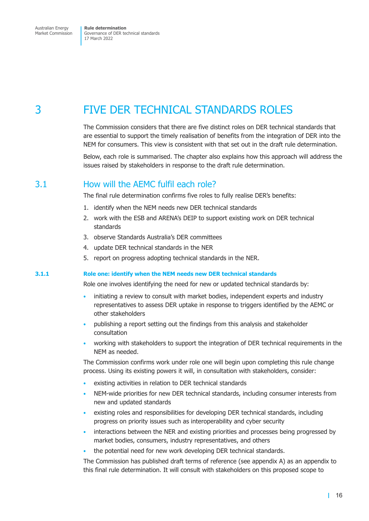# <span id="page-21-0"></span>3 FIVE DER TECHNICAL STANDARDS ROLES

<span id="page-21-1"></span>The Commission considers that there are five distinct roles on DER technical standards that are essential to support the timely realisation of benefits from the integration of DER into the NEM for consumers. This view is consistent with that set out in the draft rule determination.

Below, each role is summarised. The chapter also explains how this approach will address the issues raised by stakeholders in response to the draft rule determination.

### 3.1 How will the AEMC fulfil each role?

The final rule determination confirms five roles to fully realise DER's benefits:

- <span id="page-21-2"></span>1. identify when the NEM needs new DER technical standards
- 2. work with the ESB and ARENA's DEIP to support existing work on DER technical standards
- 3. observe Standards Australia's DER committees
- 4. update DER technical standards in the NER
- 5. report on progress adopting technical standards in the NER.

#### **3.1.1 Role one: identify when the NEM needs new DER technical standards**

<span id="page-21-3"></span>Role one involves identifying the need for new or updated technical standards by:

- initiating a review to consult with market bodies, independent experts and industry representatives to assess DER uptake in response to triggers identified by the AEMC or other stakeholders
- publishing a report setting out the findings from this analysis and stakeholder consultation
- working with stakeholders to support the integration of DER technical requirements in the NEM as needed.

The Commission confirms work under role one will begin upon completing this rule change process. Using its existing powers it will, in consultation with stakeholders, consider:

- existing activities in relation to DER technical standards
- NEM-wide priorities for new DER technical standards, including consumer interests from new and updated standards
- existing roles and responsibilities for developing DER technical standards, including progress on priority issues such as interoperability and cyber security
- interactions between the NER and existing priorities and processes being progressed by market bodies, consumers, industry representatives, and others
- the potential need for new work developing DER technical standards.

The Commission has published draft terms of reference (see [appendix A\)](#page-38-1) as an appendix to this final rule determination. It will consult with stakeholders on this proposed scope to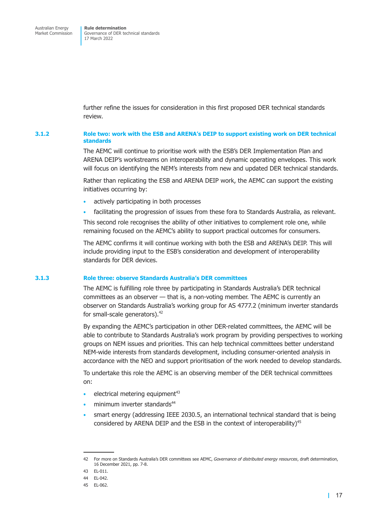further refine the issues for consideration in this first proposed DER technical standards review.

#### **3.1.2 Role two: work with the ESB and ARENA's DEIP to support existing work on DER technical standards**

The AEMC will continue to prioritise work with the ESB's DER Implementation Plan and ARENA DEIP's workstreams on interoperability and dynamic operating envelopes. This work will focus on identifying the NEM's interests from new and updated DER technical standards.

Rather than replicating the ESB and ARENA DEIP work, the AEMC can support the existing initiatives occurring by:

- actively participating in both processes
- facilitating the progression of issues from these fora to Standards Australia, as relevant.

This second role recognises the ability of other initiatives to complement role one, while remaining focused on the AEMC's ability to support practical outcomes for consumers.

The AEMC confirms it will continue working with both the ESB and ARENA's DEIP. This will include providing input to the ESB's consideration and development of interoperability standards for DER devices.

#### **3.1.3 Role three: observe Standards Australia's DER committees**

The AEMC is fulfilling role three by participating in Standards Australia's DER technical committees as an observer — that is, a non-voting member. The AEMC is currently an observer on Standards Australia's working group for AS 4777.2 (minimum inverter standards for small-scale generators).42

By expanding the AEMC's participation in other DER-related committees, the AEMC will be able to contribute to Standards Australia's work program by providing perspectives to working groups on NEM issues and priorities. This can help technical committees better understand NEM-wide interests from standards development, including consumer-oriented analysis in accordance with the NEO and support prioritisation of the work needed to develop standards.

To undertake this role the AEMC is an observing member of the DER technical committees on:

- electrical metering equipment<sup>43</sup>
- minimum inverter standards<sup>44</sup>
- smart energy (addressing IEEE 2030.5, an international technical standard that is being considered by ARENA DEIP and the ESB in the context of interoperability)<sup>45</sup>

<sup>42</sup> For more on Standards Australia's DER committees see AEMC, *Governance of distributed energy resources*, draft determination, 16 December 2021, pp. 7-8.

<sup>43</sup> EL-011.

<sup>44</sup> EL-042.

<sup>45</sup> EL-062.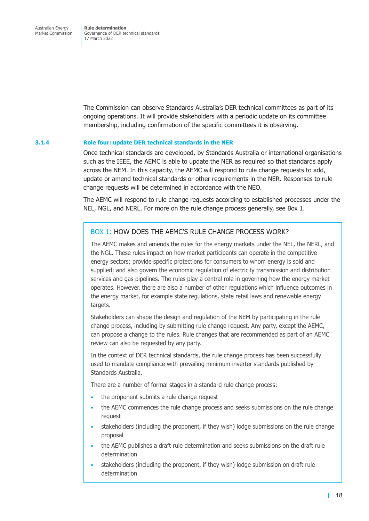The Commission can observe Standards Australia's DER technical committees as part of its ongoing operations. It will provide stakeholders with a periodic update on its committee membership, including confirmation of the specific committees it is observing.

#### **3.1.4 Role four: update DER technical standards in the NER**

Once technical standards are developed, by Standards Australia or international organisations such as the IEEE, the AEMC is able to update the NER as required so that standards apply across the NEM. In this capacity, the AEMC will respond to rule change requests to add, update or amend technical standards or other requirements in the NER. Responses to rule change requests will be determined in accordance with the NEO.

The AEMC will respond to rule change requests according to established processes under the NEL, NGL, and NERL. For more on the rule change process generally, see [Box 1.](#page-23-0)

### BOX 1: HOW DOES THE AEMC'S RULE CHANGE PROCESS WORK?

<span id="page-23-0"></span>The AEMC makes and amends the rules for the energy markets under the NEL, the NERL, and the NGL. These rules impact on how market participants can operate in the competitive energy sectors; provide specific protections for consumers to whom energy is sold and supplied; and also govern the economic regulation of electricity transmission and distribution services and gas pipelines. The rules play a central role in governing how the energy market operates. However, there are also a number of other regulations which influence outcomes in the energy market, for example state regulations, state retail laws and renewable energy targets.

Stakeholders can shape the design and regulation of the NEM by participating in the rule change process, including by submitting rule change request. Any party, except the AEMC, can propose a change to the rules. Rule changes that are recommended as part of an AEMC review can also be requested by any party.

In the context of DER technical standards, the rule change process has been successfully used to mandate compliance with prevailing minimum inverter standards published by Standards Australia.

There are a number of formal stages in a standard rule change process:

- the proponent submits a rule change request
- the AEMC commences the rule change process and seeks submissions on the rule change request
- stakeholders (including the proponent, if they wish) lodge submissions on the rule change proposal
- the AEMC publishes a draft rule determination and seeks submissions on the draft rule determination
- stakeholders (including the proponent, if they wish) lodge submission on draft rule determination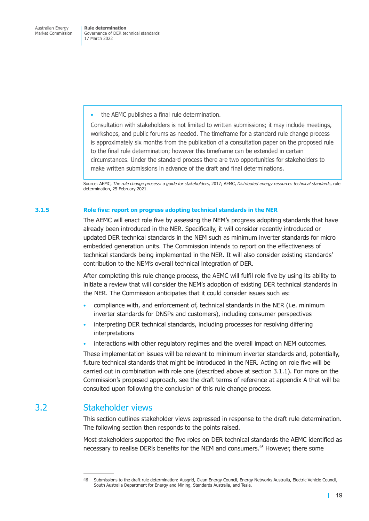<span id="page-24-0"></span>the AEMC publishes a final rule determination.

Consultation with stakeholders is not limited to written submissions; it may include meetings, workshops, and public forums as needed. The timeframe for a standard rule change process is approximately six months from the publication of a consultation paper on the proposed rule to the final rule determination; however this timeframe can be extended in certain circumstances. Under the standard process there are two opportunities for stakeholders to make written submissions in advance of the draft and final determinations.

Source: AEMC, *The rule change process: a guide for stakeholders*, 2017; AEMC, *Distributed energy resources technical standards*, rule determination, 25 February 2021.

#### **3.1.5 Role five: report on progress adopting technical standards in the NER**

The AEMC will enact role five by assessing the NEM's progress adopting standards that have already been introduced in the NER. Specifically, it will consider recently introduced or updated DER technical standards in the NEM such as minimum inverter standards for micro embedded generation units. The Commission intends to report on the effectiveness of technical standards being implemented in the NER. It will also consider existing standards' contribution to the NEM's overall technical integration of DER.

After completing this rule change process, the AEMC will fulfil role five by using its ability to initiate a review that will consider the NEM's adoption of existing DER technical standards in the NER. The Commission anticipates that it could consider issues such as:

- compliance with, and enforcement of, technical standards in the NER (i.e. minimum inverter standards for DNSPs and customers), including consumer perspectives
- interpreting DER technical standards, including processes for resolving differing interpretations
- interactions with other regulatory regimes and the overall impact on NEM outcomes.

These implementation issues will be relevant to minimum inverter standards and, potentially, future technical standards that might be introduced in the NER. Acting on role five will be carried out in combination with role one (described above at [section 3.1.1\)](#page-21-3). For more on the Commission's proposed approach, see the draft terms of reference at [appendix A](#page-38-1) that will be consulted upon following the conclusion of this rule change process.

### 3.2 Stakeholder views

This section outlines stakeholder views expressed in response to the draft rule determination. The following section then responds to the points raised.

Most stakeholders supported the five roles on DER technical standards the AEMC identified as necessary to realise DER's benefits for the NEM and consumers.46 However, there some

<sup>46</sup> Submissions to the draft rule determination: Ausgrid, Clean Energy Council, Energy Networks Australia, Electric Vehicle Council, South Australia Department for Energy and Mining, Standards Australia, and Tesla.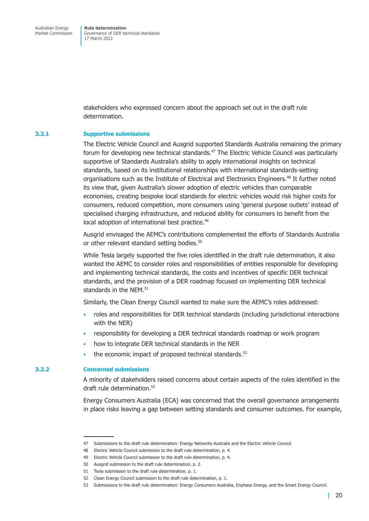stakeholders who expressed concern about the approach set out in the draft rule determination.

#### **3.2.1 Supportive submissions**

The Electric Vehicle Council and Ausgrid supported Standards Australia remaining the primary forum for developing new technical standards.<sup>47</sup> The Electric Vehicle Council was particularly supportive of Standards Australia's ability to apply international insights on technical standards, based on its institutional relationships with international standards-setting organisations such as the Institute of Electrical and Electronics Engineers.<sup>48</sup> It further noted its view that, given Australia's slower adoption of electric vehicles than comparable economies, creating bespoke local standards for electric vehicles would risk higher costs for consumers, reduced competition, more consumers using 'general purpose outlets' instead of specialised charging infrastructure, and reduced ability for consumers to benefit from the local adoption of international best practice.<sup>49</sup>

Ausgrid envisaged the AEMC's contributions complemented the efforts of Standards Australia or other relevant standard setting bodies.<sup>50</sup>

While Tesla largely supported the five roles identified in the draft rule determination, it also wanted the AEMC to consider roles and responsibilities of entities responsible for developing and implementing technical standards, the costs and incentives of specific DER technical standards, and the provision of a DER roadmap focused on implementing DER technical standards in the NEM.<sup>51</sup>

Similarly, the Clean Energy Council wanted to make sure the AEMC's roles addressed:

- roles and responsibilities for DER technical standards (including jurisdictional interactions with the NER)
- responsibility for developing a DER technical standards roadmap or work program
- how to integrate DER technical standards in the NER
- the economic impact of proposed technical standards. $52$

#### **3.2.2 Concerned submissions**

A minority of stakeholders raised concerns about certain aspects of the roles identified in the draft rule determination.<sup>53</sup>

Energy Consumers Australia (ECA) was concerned that the overall governance arrangements in place risks leaving a gap between setting standards and consumer outcomes. For example,

<sup>47</sup> Submissions to the draft rule determination: Energy Networks Australia and the Electric Vehicle Council.

<sup>48</sup> Electric Vehicle Council submission to the draft rule determination, p. 4.

<sup>49</sup> Electric Vehicle Council submission to the draft rule determination, p. 4.

<sup>50</sup> Ausgrid submission to the draft rule determination, p. 2.

<sup>51</sup> Tesla submission to the draft rule determination, p. 1.

<sup>52</sup> Clean Energy Council submission to the draft rule determination, p. 1.

<sup>53</sup> Submissions to the draft rule determination: Energy Consumers Australia, Enphase Energy, and the Smart Energy Council.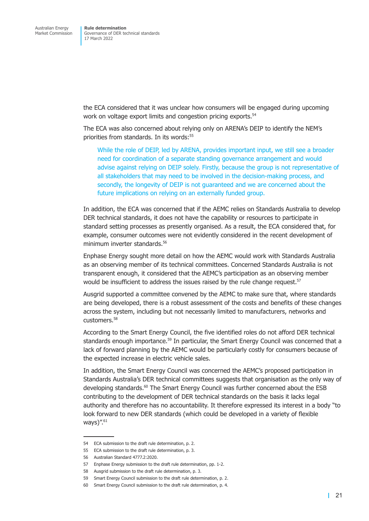the ECA considered that it was unclear how consumers will be engaged during upcoming work on voltage export limits and congestion pricing exports.<sup>54</sup>

The ECA was also concerned about relying only on ARENA's DEIP to identify the NEM's priorities from standards. In its words:<sup>55</sup>

While the role of DEIP, led by ARENA, provides important input, we still see a broader need for coordination of a separate standing governance arrangement and would advise against relying on DEIP solely. Firstly, because the group is not representative of all stakeholders that may need to be involved in the decision-making process, and secondly, the longevity of DEIP is not guaranteed and we are concerned about the future implications on relying on an externally funded group.

In addition, the ECA was concerned that if the AEMC relies on Standards Australia to develop DER technical standards, it does not have the capability or resources to participate in standard setting processes as presently organised. As a result, the ECA considered that, for example, consumer outcomes were not evidently considered in the recent development of minimum inverter standards.<sup>56</sup>

Enphase Energy sought more detail on how the AEMC would work with Standards Australia as an observing member of its technical committees. Concerned Standards Australia is not transparent enough, it considered that the AEMC's participation as an observing member would be insufficient to address the issues raised by the rule change request.<sup>57</sup>

Ausgrid supported a committee convened by the AEMC to make sure that, where standards are being developed, there is a robust assessment of the costs and benefits of these changes across the system, including but not necessarily limited to manufacturers, networks and customers.58

According to the Smart Energy Council, the five identified roles do not afford DER technical standards enough importance.<sup>59</sup> In particular, the Smart Energy Council was concerned that a lack of forward planning by the AEMC would be particularly costly for consumers because of the expected increase in electric vehicle sales.

In addition, the Smart Energy Council was concerned the AEMC's proposed participation in Standards Australia's DER technical committees suggests that organisation as the only way of developing standards.<sup>60</sup> The Smart Energy Council was further concerned about the ESB contributing to the development of DER technical standards on the basis it lacks legal authority and therefore has no accountability. It therefore expressed its interest in a body "to look forward to new DER standards (which could be developed in a variety of flexible ways)".<sup>61</sup>

<sup>54</sup> ECA submission to the draft rule determination, p. 2.

<sup>55</sup> ECA submission to the draft rule determination, p. 3.

<sup>56</sup> Australian Standard 4777.2:2020.

<sup>57</sup> Enphase Energy submission to the draft rule determination, pp. 1-2.

<sup>58</sup> Ausgrid submission to the draft rule determination, p. 3.

<sup>59</sup> Smart Energy Council submission to the draft rule determination, p. 2.

<sup>60</sup> Smart Energy Council submission to the draft rule determination, p. 4.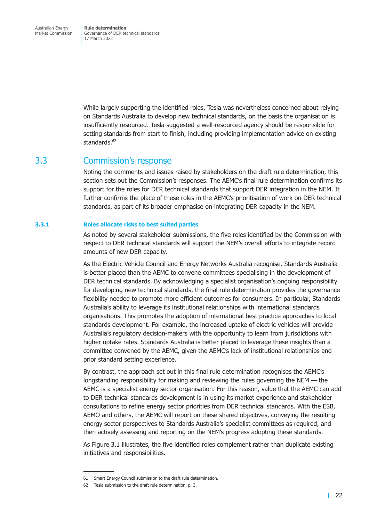<span id="page-27-0"></span>**Rule determination**  Governance of DER technical standards 17 March 2022

While largely supporting the identified roles, Tesla was nevertheless concerned about relying on Standards Australia to develop new technical standards, on the basis the organisation is insufficiently resourced. Tesla suggested a well-resourced agency should be responsible for setting standards from start to finish, including providing implementation advice on existing standards.<sup>62</sup>

### 3.3 Commission's response

Noting the comments and issues raised by stakeholders on the draft rule determination, this section sets out the Commission's responses. The AEMC's final rule determination confirms its support for the roles for DER technical standards that support DER integration in the NEM. It further confirms the place of these roles in the AEMC's prioritisation of work on DER technical standards, as part of its broader emphasise on integrating DER capacity in the NEM.

#### **3.3.1 Roles allocate risks to best suited parties**

As noted by several stakeholder submissions, the five roles identified by the Commission with respect to DER technical standards will support the NEM's overall efforts to integrate record amounts of new DER capacity.

As the Electric Vehicle Council and Energy Networks Australia recognise, Standards Australia is better placed than the AEMC to convene committees specialising in the development of DER technical standards. By acknowledging a specialist organisation's ongoing responsibility for developing new technical standards, the final rule determination provides the governance flexibility needed to promote more efficient outcomes for consumers. In particular, Standards Australia's ability to leverage its institutional relationships with international standards organisations. This promotes the adoption of international best practice approaches to local standards development. For example, the increased uptake of electric vehicles will provide Australia's regulatory decision-makers with the opportunity to learn from jurisdictions with higher uptake rates. Standards Australia is better placed to leverage these insights than a committee convened by the AEMC, given the AEMC's lack of institutional relationships and prior standard setting experience.

By contrast, the approach set out in this final rule determination recognises the AEMC's longstanding responsibility for making and reviewing the rules governing the NEM — the AEMC is a specialist energy sector organisation. For this reason, value that the AEMC can add to DER technical standards development is in using its market experience and stakeholder consultations to refine energy sector priorities from DER technical standards. With the ESB, AEMO and others, the AEMC will report on these shared objectives, conveying the resulting energy sector perspectives to Standards Australia's specialist committees as required, and then actively assessing and reporting on the NEM's progress adopting these standards.

As [Figure 3.1](#page-28-1) illustrates, the five identified roles complement rather than duplicate existing initiatives and responsibilities.

<sup>61</sup> Smart Energy Council submission to the draft rule determination.

<sup>62</sup> Tesla submission to the draft rule determination, p. 3.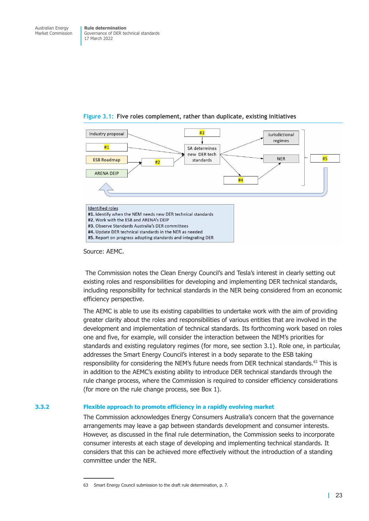<span id="page-28-1"></span>

#### <span id="page-28-0"></span>**Figure 3.1: Five roles complement, rather than duplicate, existing initiatives**

Source: AEMC.

 The Commission notes the Clean Energy Council's and Tesla's interest in clearly setting out existing roles and responsibilities for developing and implementing DER technical standards, including responsibility for technical standards in the NER being considered from an economic efficiency perspective.

The AEMC is able to use its existing capabilities to undertake work with the aim of providing greater clarity about the roles and responsibilities of various entities that are involved in the development and implementation of technical standards. Its forthcoming work based on roles one and five, for example, will consider the interaction between the NEM's priorities for standards and existing regulatory regimes (for more, see [section 3.1\)](#page-21-2). Role one, in particular, addresses the Smart Energy Council's interest in a body separate to the ESB taking responsibility for considering the NEM's future needs from DER technical standards.<sup>63</sup> This is in addition to the AEMC's existing ability to introduce DER technical standards through the rule change process, where the Commission is required to consider efficiency considerations (for more on the rule change process, see [Box 1\)](#page-23-0).

#### **3.3.2 Flexible approach to promote efficiency in a rapidly evolving market**

The Commission acknowledges Energy Consumers Australia's concern that the governance arrangements may leave a gap between standards development and consumer interests. However, as discussed in the final rule determination, the Commission seeks to incorporate consumer interests at each stage of developing and implementing technical standards. It considers that this can be achieved more effectively without the introduction of a standing committee under the NER.

<sup>63</sup> Smart Energy Council submission to the draft rule determination, p. 7.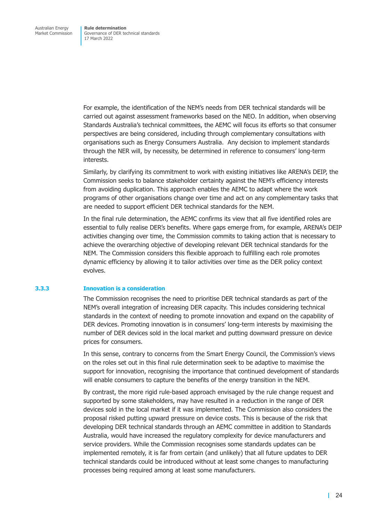For example, the identification of the NEM's needs from DER technical standards will be carried out against assessment frameworks based on the NEO. In addition, when observing Standards Australia's technical committees, the AEMC will focus its efforts so that consumer perspectives are being considered, including through complementary consultations with organisations such as Energy Consumers Australia. Any decision to implement standards through the NER will, by necessity, be determined in reference to consumers' long-term interests.

Similarly, by clarifying its commitment to work with existing initiatives like ARENA's DEIP, the Commission seeks to balance stakeholder certainty against the NEM's efficiency interests from avoiding duplication. This approach enables the AEMC to adapt where the work programs of other organisations change over time and act on any complementary tasks that are needed to support efficient DER technical standards for the NEM.

In the final rule determination, the AEMC confirms its view that all five identified roles are essential to fully realise DER's benefits. Where gaps emerge from, for example, ARENA's DEIP activities changing over time, the Commission commits to taking action that is necessary to achieve the overarching objective of developing relevant DER technical standards for the NEM. The Commission considers this flexible approach to fulfilling each role promotes dynamic efficiency by allowing it to tailor activities over time as the DER policy context evolves.

#### **3.3.3 Innovation is a consideration**

The Commission recognises the need to prioritise DER technical standards as part of the NEM's overall integration of increasing DER capacity. This includes considering technical standards in the context of needing to promote innovation and expand on the capability of DER devices. Promoting innovation is in consumers' long-term interests by maximising the number of DER devices sold in the local market and putting downward pressure on device prices for consumers.

In this sense, contrary to concerns from the Smart Energy Council, the Commission's views on the roles set out in this final rule determination seek to be adaptive to maximise the support for innovation, recognising the importance that continued development of standards will enable consumers to capture the benefits of the energy transition in the NEM.

By contrast, the more rigid rule-based approach envisaged by the rule change request and supported by some stakeholders, may have resulted in a reduction in the range of DER devices sold in the local market if it was implemented. The Commission also considers the proposal risked putting upward pressure on device costs. This is because of the risk that developing DER technical standards through an AEMC committee in addition to Standards Australia, would have increased the regulatory complexity for device manufacturers and service providers. While the Commission recognises some standards updates can be implemented remotely, it is far from certain (and unlikely) that all future updates to DER technical standards could be introduced without at least some changes to manufacturing processes being required among at least some manufacturers.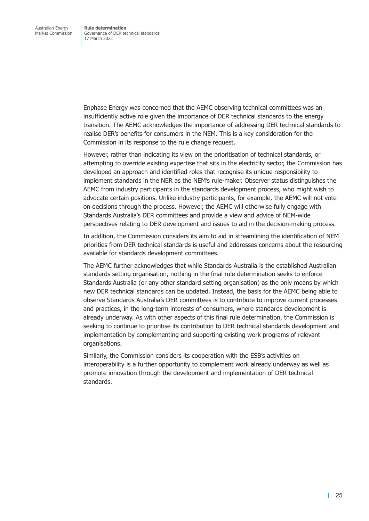Enphase Energy was concerned that the AEMC observing technical committees was an insufficiently active role given the importance of DER technical standards to the energy transition. The AEMC acknowledges the importance of addressing DER technical standards to realise DER's benefits for consumers in the NEM. This is a key consideration for the Commission in its response to the rule change request.

However, rather than indicating its view on the prioritisation of technical standards, or attempting to override existing expertise that sits in the electricity sector, the Commission has developed an approach and identified roles that recognise its unique responsibility to implement standards in the NER as the NEM's rule-maker. Observer status distinguishes the AEMC from industry participants in the standards development process, who might wish to advocate certain positions. Unlike industry participants, for example, the AEMC will not vote on decisions through the process. However, the AEMC will otherwise fully engage with Standards Australia's DER committees and provide a view and advice of NEM-wide perspectives relating to DER development and issues to aid in the decision-making process.

In addition, the Commission considers its aim to aid in streamlining the identification of NEM priorities from DER technical standards is useful and addresses concerns about the resourcing available for standards development committees.

The AEMC further acknowledges that while Standards Australia is the established Australian standards setting organisation, nothing in the final rule determination seeks to enforce Standards Australia (or any other standard setting organisation) as the only means by which new DER technical standards can be updated. Instead, the basis for the AEMC being able to observe Standards Australia's DER committees is to contribute to improve current processes and practices, in the long-term interests of consumers, where standards development is already underway. As with other aspects of this final rule determination, the Commission is seeking to continue to prioritise its contribution to DER technical standards development and implementation by complementing and supporting existing work programs of relevant organisations.

Similarly, the Commission considers its cooperation with the ESB's activities on interoperability is a further opportunity to complement work already underway as well as promote innovation through the development and implementation of DER technical standards.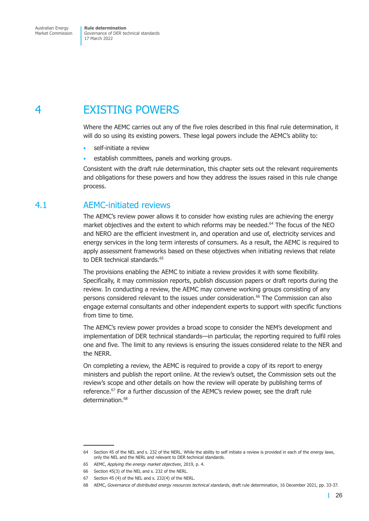# <span id="page-31-0"></span>4 EXISTING POWERS

Where the AEMC carries out any of the five roles described in this final rule determination, it will do so using its existing powers. These legal powers include the AEMC's ability to:

- self-initiate a review
- establish committees, panels and working groups.

Consistent with the draft rule determination, this chapter sets out the relevant requirements and obligations for these powers and how they address the issues raised in this rule change process.

# 4.1 AEMC-initiated reviews

The AEMC's review power allows it to consider how existing rules are achieving the energy market objectives and the extent to which reforms may be needed.<sup>64</sup> The focus of the NEO and NERO are the efficient investment in, and operation and use of, electricity services and energy services in the long term interests of consumers. As a result, the AEMC is required to apply assessment frameworks based on these objectives when initiating reviews that relate to DER technical standards.<sup>65</sup>

The provisions enabling the AEMC to initiate a review provides it with some flexibility. Specifically, it may commission reports, publish discussion papers or draft reports during the review. In conducting a review, the AEMC may convene working groups consisting of any persons considered relevant to the issues under consideration.<sup>66</sup> The Commission can also engage external consultants and other independent experts to support with specific functions from time to time.

The AEMC's review power provides a broad scope to consider the NEM's development and implementation of DER technical standards—in particular, the reporting required to fulfil roles one and five. The limit to any reviews is ensuring the issues considered relate to the NER and the NERR.

On completing a review, the AEMC is required to provide a copy of its report to energy ministers and publish the report online. At the review's outset, the Commission sets out the review's scope and other details on how the review will operate by publishing terms of reference.<sup>67</sup> For a further discussion of the AEMC's review power, see the draft rule determination.<sup>68</sup>

<sup>64</sup> Section 45 of the NEL and s. 232 of the NERL. While the ability to self initiate a review is provided in each of the energy laws, only the NEL and the NERL and relevant to DER technical standards.

<sup>65</sup> AEMC, *Applying the energy market objectives*, 2019, p. 4.

<sup>66</sup> Section 45(3) of the NEL and s. 232 of the NERL.

<sup>67</sup> Section 45 (4) of the NEL and s. 232(4) of the NERL.

<sup>68</sup> AEMC, *Governance of distributed energy resources technical standards*, draft rule determination, 16 December 2021, pp. 33-37.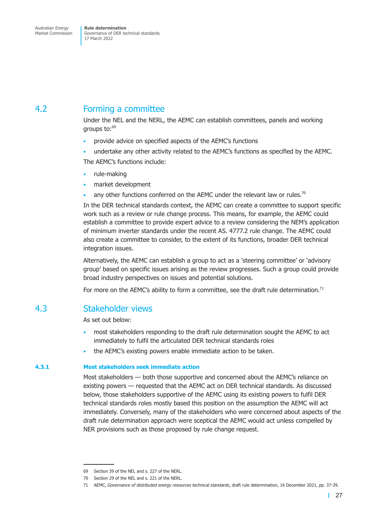# <span id="page-32-0"></span>4.2 Forming a committee

Under the NEL and the NERL, the AEMC can establish committees, panels and working groups to:69

- provide advice on specified aspects of the AEMC's functions
- undertake any other activity related to the AEMC's functions as specified by the AEMC.

The AEMC's functions include:

- rule-making
- market development
- any other functions conferred on the AEMC under the relevant law or rules.<sup>70</sup>

In the DER technical standards context, the AEMC can create a committee to support specific work such as a review or rule change process. This means, for example, the AEMC could establish a committee to provide expert advice to a review considering the NEM's application of minimum inverter standards under the recent AS. 4777.2 rule change. The AEMC could also create a committee to consider, to the extent of its functions, broader DER technical integration issues.

Alternatively, the AEMC can establish a group to act as a 'steering committee' or 'advisory group' based on specific issues arising as the review progresses. Such a group could provide broad industry perspectives on issues and potential solutions.

For more on the AEMC's ability to form a committee, see the draft rule determination.<sup>71</sup>

## 4.3 Stakeholder views

As set out below:

- most stakeholders responding to the draft rule determination sought the AEMC to act immediately to fulfil the articulated DER technical standards roles
- the AEMC's existing powers enable immediate action to be taken.

### **4.3.1 Most stakeholders seek immediate action**

Most stakeholders — both those supportive and concerned about the AEMC's reliance on existing powers — requested that the AEMC act on DER technical standards. As discussed below, those stakeholders supportive of the AEMC using its existing powers to fulfil DER technical standards roles mostly based this position on the assumption the AEMC will act immediately. Conversely, many of the stakeholders who were concerned about aspects of the draft rule determination approach were sceptical the AEMC would act unless compelled by NER provisions such as those proposed by rule change request.

<sup>69</sup> Section 39 of the NEL and s. 227 of the NERL.

<sup>70</sup> Section 29 of the NEL and s. 221 of the NERL.

<sup>71</sup> AEMC, *Governance of distributed energy resources technical standards*, draft rule determination, 16 December 2021, pp. 37-39.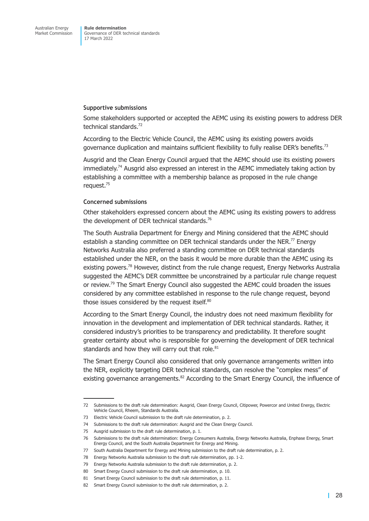#### **Supportive submissions**

Some stakeholders supported or accepted the AEMC using its existing powers to address DER technical standards.<sup>72</sup>

According to the Electric Vehicle Council, the AEMC using its existing powers avoids governance duplication and maintains sufficient flexibility to fully realise DER's benefits.<sup>73</sup>

Ausgrid and the Clean Energy Council argued that the AEMC should use its existing powers immediately.<sup>74</sup> Ausgrid also expressed an interest in the AEMC immediately taking action by establishing a committee with a membership balance as proposed in the rule change request.<sup>75</sup>

#### **Concerned submissions**

Other stakeholders expressed concern about the AEMC using its existing powers to address the development of DER technical standards.<sup>76</sup>

The South Australia Department for Energy and Mining considered that the AEMC should establish a standing committee on DER technical standards under the NER.<sup>77</sup> Energy Networks Australia also preferred a standing committee on DER technical standards established under the NER, on the basis it would be more durable than the AEMC using its existing powers.<sup>78</sup> However, distinct from the rule change request, Energy Networks Australia suggested the AEMC's DER committee be unconstrained by a particular rule change request or review.<sup>79</sup> The Smart Energy Council also suggested the AEMC could broaden the issues considered by any committee established in response to the rule change request, beyond those issues considered by the request itself. $80$ 

According to the Smart Energy Council, the industry does not need maximum flexibility for innovation in the development and implementation of DER technical standards. Rather, it considered industry's priorities to be transparency and predictability. It therefore sought greater certainty about who is responsible for governing the development of DER technical standards and how they will carry out that role. $81$ 

The Smart Energy Council also considered that only governance arrangements written into the NER, explicitly targeting DER technical standards, can resolve the "complex mess" of existing governance arrangements.<sup>82</sup> According to the Smart Energy Council, the influence of

<sup>72</sup> Submissions to the draft rule determination: Ausgrid, Clean Energy Council, Citipower, Powercor and United Energy, Electric Vehicle Council, Rheem, Standards Australia.

<sup>73</sup> Electric Vehicle Council submission to the draft rule determination, p. 2.

<sup>74</sup> Submissions to the draft rule determination: Ausgrid and the Clean Energy Council.

<sup>75</sup> Ausgrid submission to the draft rule determination, p. 1.

<sup>76</sup> Submissions to the draft rule determination: Energy Consumers Australia, Energy Networks Australia, Enphase Energy, Smart Energy Council, and the South Australia Department for Energy and Mining.

<sup>77</sup> South Australia Department for Energy and Mining submission to the draft rule determination, p. 2.

<sup>78</sup> Energy Networks Australia submission to the draft rule determination, pp. 1-2.

<sup>79</sup> Energy Networks Australia submission to the draft rule determination, p. 2.

<sup>80</sup> Smart Energy Council submission to the draft rule determination, p. 10.

<sup>81</sup> Smart Energy Council submission to the draft rule determination, p. 11.

<sup>82</sup> Smart Energy Council submission to the draft rule determination, p. 2.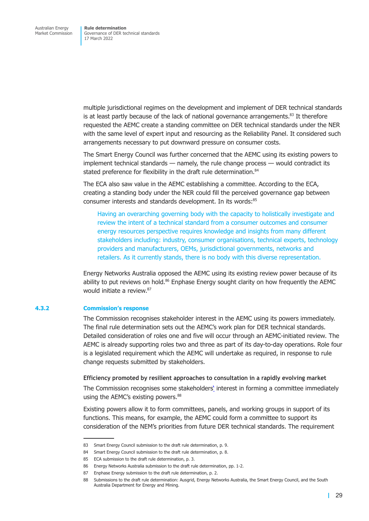multiple jurisdictional regimes on the development and implement of DER technical standards is at least partly because of the lack of national governance arrangements.<sup>83</sup> It therefore requested the AEMC create a standing committee on DER technical standards under the NER with the same level of expert input and resourcing as the Reliability Panel. It considered such arrangements necessary to put downward pressure on consumer costs.

The Smart Energy Council was further concerned that the AEMC using its existing powers to implement technical standards — namely, the rule change process — would contradict its stated preference for flexibility in the draft rule determination.<sup>84</sup>

The ECA also saw value in the AEMC establishing a committee. According to the ECA, creating a standing body under the NER could fill the perceived governance gap between consumer interests and standards development. In its words:<sup>85</sup>

Having an overarching governing body with the capacity to holistically investigate and review the intent of a technical standard from a consumer outcomes and consumer energy resources perspective requires knowledge and insights from many different stakeholders including: industry, consumer organisations, technical experts, technology providers and manufacturers, OEMs, jurisdictional governments, networks and retailers. As it currently stands, there is no body with this diverse representation.

Energy Networks Australia opposed the AEMC using its existing review power because of its ability to put reviews on hold. $86$  Enphase Energy sought clarity on how frequently the AEMC would initiate a review 87

#### **4.3.2 Commission's response**

The Commission recognises stakeholder interest in the AEMC using its powers immediately. The final rule determination sets out the AEMC's work plan for DER technical standards. Detailed consideration of roles one and five will occur through an AEMC-initiated review. The AEMC is already supporting roles two and three as part of its day-to-day operations. Role four is a legislated requirement which the AEMC will undertake as required, in response to rule change requests submitted by stakeholders.

**Efficiency promoted by resilient approaches to consultation in a rapidly evolving market** 

The Commission recognises some stakeholders' interest in forming a committee immediately using the AEMC's existing powers.<sup>88</sup>

Existing powers allow it to form committees, panels, and working groups in support of its functions. This means, for example, the AEMC could form a committee to support its consideration of the NEM's priorities from future DER technical standards. The requirement

<sup>83</sup> Smart Energy Council submission to the draft rule determination, p. 9.

<sup>84</sup> Smart Energy Council submission to the draft rule determination, p. 8.

<sup>85</sup> ECA submission to the draft rule determination, p. 3.

<sup>86</sup> Energy Networks Australia submission to the draft rule determination, pp. 1-2.

<sup>87</sup> Enphase Energy submission to the draft rule determination. p. 2.

<sup>88</sup> Submissions to the draft rule determination: Ausgrid, Energy Networks Australia, the Smart Energy Council, and the South Australia Department for Energy and Mining.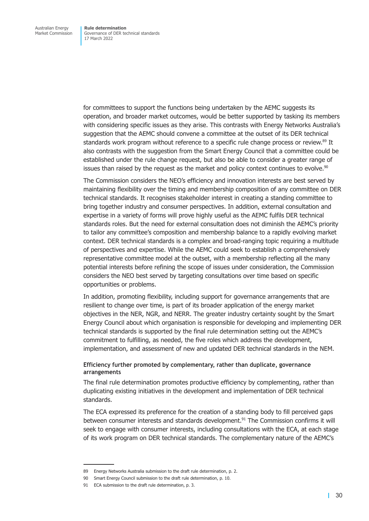for committees to support the functions being undertaken by the AEMC suggests its operation, and broader market outcomes, would be better supported by tasking its members with considering specific issues as they arise. This contrasts with Energy Networks Australia's suggestion that the AEMC should convene a committee at the outset of its DER technical standards work program without reference to a specific rule change process or review.<sup>89</sup> It also contrasts with the suggestion from the Smart Energy Council that a committee could be established under the rule change request, but also be able to consider a greater range of issues than raised by the request as the market and policy context continues to evolve.<sup>90</sup>

The Commission considers the NEO's efficiency and innovation interests are best served by maintaining flexibility over the timing and membership composition of any committee on DER technical standards. It recognises stakeholder interest in creating a standing committee to bring together industry and consumer perspectives. In addition, external consultation and expertise in a variety of forms will prove highly useful as the AEMC fulfils DER technical standards roles. But the need for external consultation does not diminish the AEMC's priority to tailor any committee's composition and membership balance to a rapidly evolving market context. DER technical standards is a complex and broad-ranging topic requiring a multitude of perspectives and expertise. While the AEMC could seek to establish a comprehensively representative committee model at the outset, with a membership reflecting all the many potential interests before refining the scope of issues under consideration, the Commission considers the NEO best served by targeting consultations over time based on specific opportunities or problems.

In addition, promoting flexibility, including support for governance arrangements that are resilient to change over time, is part of its broader application of the energy market objectives in the NER, NGR, and NERR. The greater industry certainty sought by the Smart Energy Council about which organisation is responsible for developing and implementing DER technical standards is supported by the final rule determination setting out the AEMC's commitment to fulfilling, as needed, the five roles which address the development, implementation, and assessment of new and updated DER technical standards in the NEM.

#### **Efficiency further promoted by complementary, rather than duplicate, governance arrangements**

The final rule determination promotes productive efficiency by complementing, rather than duplicating existing initiatives in the development and implementation of DER technical standards.

The ECA expressed its preference for the creation of a standing body to fill perceived gaps between consumer interests and standards development.<sup>91</sup> The Commission confirms it will seek to engage with consumer interests, including consultations with the ECA, at each stage of its work program on DER technical standards. The complementary nature of the AEMC's

<sup>89</sup> Energy Networks Australia submission to the draft rule determination, p. 2.

<sup>90</sup> Smart Energy Council submission to the draft rule determination, p. 10.

<sup>91</sup> ECA submission to the draft rule determination, p. 3.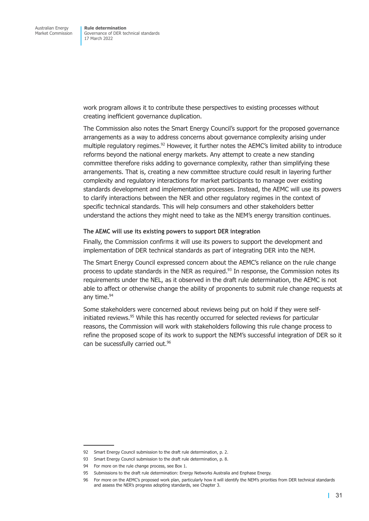work program allows it to contribute these perspectives to existing processes without creating inefficient governance duplication.

The Commission also notes the Smart Energy Council's support for the proposed governance arrangements as a way to address concerns about governance complexity arising under multiple regulatory regimes.<sup>92</sup> However, it further notes the AEMC's limited ability to introduce reforms beyond the national energy markets. Any attempt to create a new standing committee therefore risks adding to governance complexity, rather than simplifying these arrangements. That is, creating a new committee structure could result in layering further complexity and regulatory interactions for market participants to manage over existing standards development and implementation processes. Instead, the AEMC will use its powers to clarify interactions between the NER and other regulatory regimes in the context of specific technical standards. This will help consumers and other stakeholders better understand the actions they might need to take as the NEM's energy transition continues.

#### **The AEMC will use its existing powers to support DER integration**

Finally, the Commission confirms it will use its powers to support the development and implementation of DER technical standards as part of integrating DER into the NEM.

The Smart Energy Council expressed concern about the AEMC's reliance on the rule change process to update standards in the NER as required. $93$  In response, the Commission notes its requirements under the NEL, as it observed in the draft rule determination, the AEMC is not able to affect or otherwise change the ability of proponents to submit rule change requests at any time.<sup>94</sup>

Some stakeholders were concerned about reviews being put on hold if they were selfinitiated reviews.<sup>95</sup> While this has recently occurred for selected reviews for particular reasons, the Commission will work with stakeholders following this rule change process to refine the proposed scope of its work to support the NEM's successful integration of DER so it can be sucessfully carried out.<sup>96</sup>

<sup>92</sup> Smart Energy Council submission to the draft rule determination, p. 2.

<sup>93</sup> Smart Energy Council submission to the draft rule determination. p. 8.

<sup>94</sup> For more on the rule change process, see [Box 1.](#page-23-0)

<sup>95</sup> Submissions to the draft rule determination: Energy Networks Australia and Enphase Energy.

<sup>96</sup> For more on the AEMC's proposed work plan, particularly how it will identify the NEM's priorities from DER technical standards and assess the NER's progress adopting standards, see Chapter 3.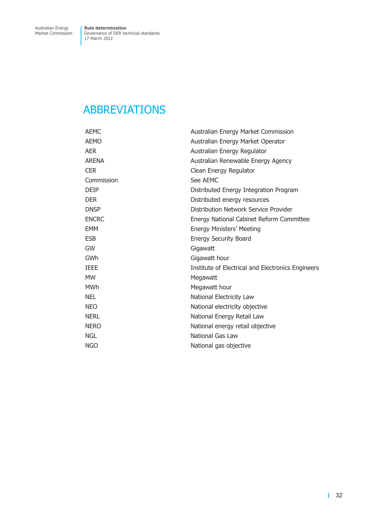# <span id="page-37-0"></span>ABBREVIATIONS

| <b>AEMC</b>  | Australian Energy Market Commission               |
|--------------|---------------------------------------------------|
| <b>AEMO</b>  | Australian Energy Market Operator                 |
| <b>AER</b>   | Australian Energy Regulator                       |
| <b>ARENA</b> | Australian Renewable Energy Agency                |
| <b>CER</b>   | Clean Energy Regulator                            |
| Commission   | See AEMC                                          |
| <b>DEIP</b>  | Distributed Energy Integration Program            |
| <b>DER</b>   | Distributed energy resources                      |
| <b>DNSP</b>  | Distribution Network Service Provider             |
| <b>ENCRC</b> | Energy National Cabinet Reform Committee          |
| <b>EMM</b>   | Energy Ministers' Meeting                         |
| <b>ESB</b>   | <b>Energy Security Board</b>                      |
| GW           | Gigawatt                                          |
| GWh          | Gigawatt hour                                     |
| <b>IEEE</b>  | Institute of Electrical and Electronics Engineers |
| <b>MW</b>    | Megawatt                                          |
| <b>MWh</b>   | Megawatt hour                                     |
| <b>NEL</b>   | National Electricity Law                          |
| <b>NEO</b>   | National electricity objective                    |
| <b>NERL</b>  | National Energy Retail Law                        |
| <b>NERO</b>  | National energy retail objective                  |
| <b>NGL</b>   | National Gas Law                                  |
| <b>NGO</b>   | National gas objective                            |
|              |                                                   |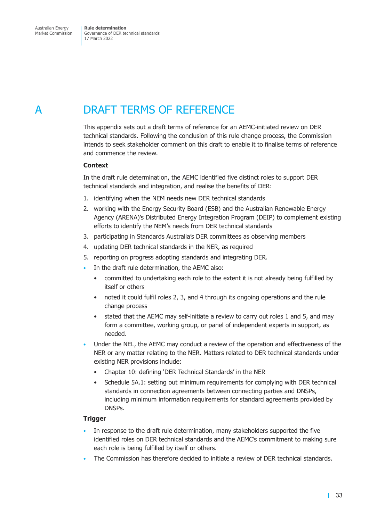# <span id="page-38-0"></span>A DRAFT TERMS OF REFERENCE

<span id="page-38-1"></span>This appendix sets out a draft terms of reference for an AEMC-initiated review on DER technical standards. Following the conclusion of this rule change process, the Commission intends to seek stakeholder comment on this draft to enable it to finalise terms of reference and commence the review.

#### **Context**

In the draft rule determination, the AEMC identified five distinct roles to support DER technical standards and integration, and realise the benefits of DER:

- 1. identifying when the NEM needs new DER technical standards
- 2. working with the Energy Security Board (ESB) and the Australian Renewable Energy Agency (ARENA)'s Distributed Energy Integration Program (DEIP) to complement existing efforts to identify the NEM's needs from DER technical standards
- 3. participating in Standards Australia's DER committees as observing members
- 4. updating DER technical standards in the NER, as required
- 5. reporting on progress adopting standards and integrating DER.
- In the draft rule determination, the AEMC also:
	- committed to undertaking each role to the extent it is not already being fulfilled by itself or others
	- noted it could fulfil roles 2, 3, and 4 through its ongoing operations and the rule change process
	- stated that the AEMC may self-initiate a review to carry out roles 1 and 5, and may form a committee, working group, or panel of independent experts in support, as needed.
- Under the NEL, the AEMC may conduct a review of the operation and effectiveness of the NER or any matter relating to the NER. Matters related to DER technical standards under existing NER provisions include:
	- Chapter 10: defining 'DER Technical Standards' in the NER
	- Schedule 5A.1: setting out minimum requirements for complying with DER technical standards in connection agreements between connecting parties and DNSPs, including minimum information requirements for standard agreements provided by DNSPs.

#### **Trigger**

- In response to the draft rule determination, many stakeholders supported the five identified roles on DER technical standards and the AEMC's commitment to making sure each role is being fulfilled by itself or others.
- The Commission has therefore decided to initiate a review of DER technical standards.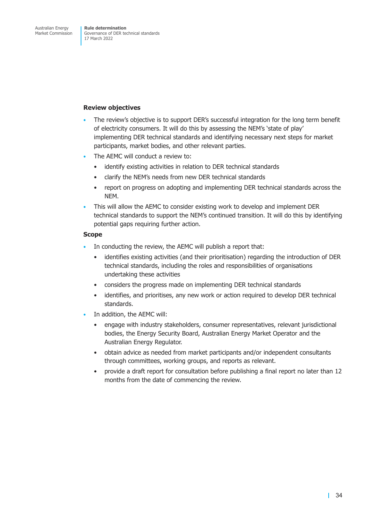#### **Review objectives**

- The review's objective is to support DER's successful integration for the long term benefit of electricity consumers. It will do this by assessing the NEM's 'state of play' implementing DER technical standards and identifying necessary next steps for market participants, market bodies, and other relevant parties.
- The AEMC will conduct a review to:
	- identify existing activities in relation to DER technical standards
	- clarify the NEM's needs from new DER technical standards
	- report on progress on adopting and implementing DER technical standards across the NEM.
- This will allow the AEMC to consider existing work to develop and implement DER technical standards to support the NEM's continued transition. It will do this by identifying potential gaps requiring further action.

#### **Scope**

- In conducting the review, the AEMC will publish a report that:
	- identifies existing activities (and their prioritisation) regarding the introduction of DER technical standards, including the roles and responsibilities of organisations undertaking these activities
	- considers the progress made on implementing DER technical standards
	- identifies, and prioritises, any new work or action required to develop DER technical standards.
- In addition, the AEMC will:
	- engage with industry stakeholders, consumer representatives, relevant jurisdictional bodies, the Energy Security Board, Australian Energy Market Operator and the Australian Energy Regulator.
	- obtain advice as needed from market participants and/or independent consultants through committees, working groups, and reports as relevant.
	- provide a draft report for consultation before publishing a final report no later than 12 months from the date of commencing the review.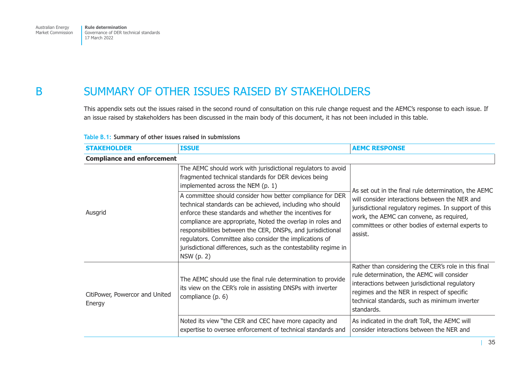# <span id="page-40-0"></span>B SUMMARY OF OTHER ISSUES RAISED BY STAKEHOLDERS

This appendix sets out the issues raised in the second round of consultation on this rule change request and the AEMC's response to each issue. If an issue raised by stakeholders has been discussed in the main body of this document, it has not been included in this table.

| <b>STAKEHOLDER</b>                       | <b>ISSUE</b>                                                                                                                                                                                                                                                                                                                                                                                                                                                                                                                                                                                                            | <b>AEMC RESPONSE</b>                                                                                                                                                                                                                                                        |
|------------------------------------------|-------------------------------------------------------------------------------------------------------------------------------------------------------------------------------------------------------------------------------------------------------------------------------------------------------------------------------------------------------------------------------------------------------------------------------------------------------------------------------------------------------------------------------------------------------------------------------------------------------------------------|-----------------------------------------------------------------------------------------------------------------------------------------------------------------------------------------------------------------------------------------------------------------------------|
| <b>Compliance and enforcement</b>        |                                                                                                                                                                                                                                                                                                                                                                                                                                                                                                                                                                                                                         |                                                                                                                                                                                                                                                                             |
| Ausgrid                                  | The AEMC should work with jurisdictional regulators to avoid<br>fragmented technical standards for DER devices being<br>implemented across the NEM (p. 1)<br>A committee should consider how better compliance for DER<br>technical standards can be achieved, including who should<br>enforce these standards and whether the incentives for<br>compliance are appropriate, Noted the overlap in roles and<br>responsibilities between the CER, DNSPs, and jurisdictional<br>regulators. Committee also consider the implications of<br>jurisdictional differences, such as the contestability regime in<br>NSW (p. 2) | As set out in the final rule determination, the AEMC<br>will consider interactions between the NER and<br>jurisdictional regulatory regimes. In support of this<br>work, the AEMC can convene, as required,<br>committees or other bodies of external experts to<br>assist. |
| CitiPower, Powercor and United<br>Energy | The AEMC should use the final rule determination to provide<br>its view on the CER's role in assisting DNSPs with inverter<br>compliance (p. 6)                                                                                                                                                                                                                                                                                                                                                                                                                                                                         | Rather than considering the CER's role in this final<br>rule determination, the AEMC will consider<br>interactions between jurisdictional regulatory<br>regimes and the NER in respect of specific<br>technical standards, such as minimum inverter<br>standards.           |
|                                          | Noted its view "the CER and CEC have more capacity and<br>expertise to oversee enforcement of technical standards and                                                                                                                                                                                                                                                                                                                                                                                                                                                                                                   | As indicated in the draft ToR, the AEMC will<br>consider interactions between the NER and                                                                                                                                                                                   |

#### **Table B.1: Summary of other issues raised in submissions**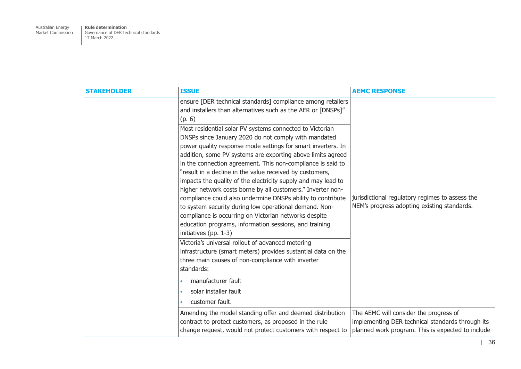**Rule determination**  Governance of DER technical standards 17 March 2022

| <b>STAKEHOLDER</b> | <b>ISSUE</b>                                                                                                                                                                                                                                                                                                                                                                                                                                                                                                                                                                                                                                                                                                                                                                 | <b>AEMC RESPONSE</b>                                                                                  |
|--------------------|------------------------------------------------------------------------------------------------------------------------------------------------------------------------------------------------------------------------------------------------------------------------------------------------------------------------------------------------------------------------------------------------------------------------------------------------------------------------------------------------------------------------------------------------------------------------------------------------------------------------------------------------------------------------------------------------------------------------------------------------------------------------------|-------------------------------------------------------------------------------------------------------|
|                    | ensure [DER technical standards] compliance among retailers<br>and installers than alternatives such as the AER or [DNSPs]"<br>(p. 6)<br>Most residential solar PV systems connected to Victorian<br>DNSPs since January 2020 do not comply with mandated<br>power quality response mode settings for smart inverters. In<br>addition, some PV systems are exporting above limits agreed<br>in the connection agreement. This non-compliance is said to<br>"result in a decline in the value received by customers,<br>impacts the quality of the electricity supply and may lead to<br>higher network costs borne by all customers." Inverter non-<br>compliance could also undermine DNSPs ability to contribute<br>to system security during low operational demand. Non- | jurisdictional regulatory regimes to assess the<br>NEM's progress adopting existing standards.        |
|                    | compliance is occurring on Victorian networks despite<br>education programs, information sessions, and training<br>initiatives (pp. 1-3)<br>Victoria's universal rollout of advanced metering<br>infrastructure (smart meters) provides sustantial data on the<br>three main causes of non-compliance with inverter<br>standards:<br>manufacturer fault<br>solar installer fault<br>customer fault.                                                                                                                                                                                                                                                                                                                                                                          |                                                                                                       |
|                    | Amending the model standing offer and deemed distribution                                                                                                                                                                                                                                                                                                                                                                                                                                                                                                                                                                                                                                                                                                                    | The AEMC will consider the progress of                                                                |
|                    | contract to protect customers, as proposed in the rule<br>change request, would not protect customers with respect to                                                                                                                                                                                                                                                                                                                                                                                                                                                                                                                                                                                                                                                        | implementing DER technical standards through its<br>planned work program. This is expected to include |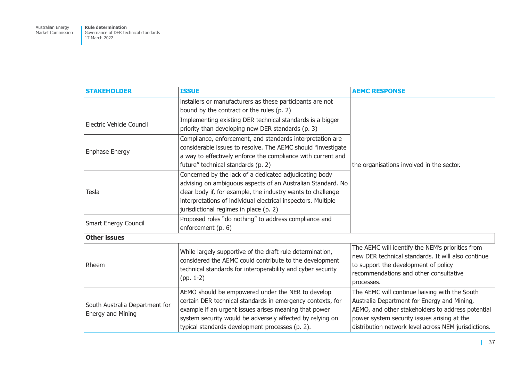**Rule determination**  Governance of DER technical standards 17 March 2022

| <b>STAKEHOLDER</b>                                  | <b>ISSUE</b>                                                                                                                                                                                                                                                                                    | <b>AEMC RESPONSE</b>                                                                                                                                                                                                                                      |
|-----------------------------------------------------|-------------------------------------------------------------------------------------------------------------------------------------------------------------------------------------------------------------------------------------------------------------------------------------------------|-----------------------------------------------------------------------------------------------------------------------------------------------------------------------------------------------------------------------------------------------------------|
|                                                     | installers or manufacturers as these participants are not<br>bound by the contract or the rules (p. 2)                                                                                                                                                                                          |                                                                                                                                                                                                                                                           |
| Electric Vehicle Council                            | Implementing existing DER technical standards is a bigger<br>priority than developing new DER standards (p. 3)                                                                                                                                                                                  |                                                                                                                                                                                                                                                           |
| Enphase Energy                                      | Compliance, enforcement, and standards interpretation are<br>considerable issues to resolve. The AEMC should "investigate<br>a way to effectively enforce the compliance with current and<br>future" technical standards (p. 2)                                                                 | the organisations involved in the sector.                                                                                                                                                                                                                 |
| Tesla                                               | Concerned by the lack of a dedicated adjudicating body<br>advising on ambiguous aspects of an Australian Standard. No<br>clear body if, for example, the industry wants to challenge<br>interpretations of individual electrical inspectors. Multiple<br>jurisdictional regimes in place (p. 2) |                                                                                                                                                                                                                                                           |
| <b>Smart Energy Council</b>                         | Proposed roles "do nothing" to address compliance and<br>enforcement (p. 6)                                                                                                                                                                                                                     |                                                                                                                                                                                                                                                           |
| <b>Other issues</b>                                 |                                                                                                                                                                                                                                                                                                 |                                                                                                                                                                                                                                                           |
| Rheem                                               | While largely supportive of the draft rule determination,<br>considered the AEMC could contribute to the development<br>technical standards for interoperability and cyber security<br>$(pp. 1-2)$                                                                                              | The AEMC will identify the NEM's priorities from<br>new DER technical standards. It will also continue<br>to support the development of policy<br>recommendations and other consultative<br>processes.                                                    |
| South Australia Department for<br>Energy and Mining | AEMO should be empowered under the NER to develop<br>certain DER technical standards in emergency contexts, for<br>example if an urgent issues arises meaning that power<br>system security would be adversely affected by relying on<br>typical standards development processes (p. 2).        | The AEMC will continue liaising with the South<br>Australia Department for Energy and Mining,<br>AEMO, and other stakeholders to address potential<br>power system security issues arising at the<br>distribution network level across NEM jurisdictions. |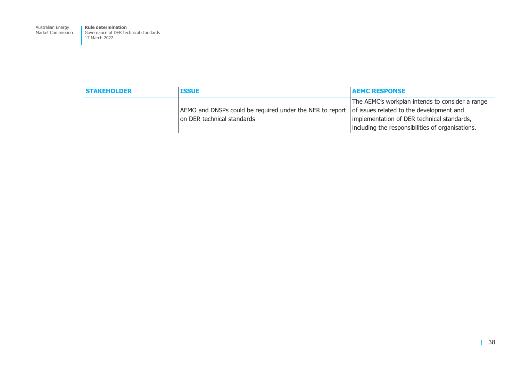**Rule determination**  Governance of DER technical standards 17 March 2022

| <b>STAKEHOLDER</b> | <b>ISSUE</b>                                                                           | <b>AEMC RESPONSE</b>                                                                                                                                                                          |
|--------------------|----------------------------------------------------------------------------------------|-----------------------------------------------------------------------------------------------------------------------------------------------------------------------------------------------|
|                    | AEMO and DNSPs could be required under the NER to report<br>on DER technical standards | The AEMC's workplan intends to consider a range<br>of issues related to the development and<br>implementation of DER technical standards,<br>including the responsibilities of organisations. |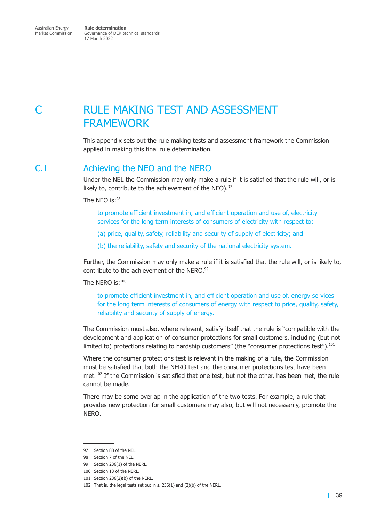# <span id="page-44-0"></span>C RULE MAKING TEST AND ASSESSMENT FRAMEWORK

This appendix sets out the rule making tests and assessment framework the Commission applied in making this final rule determination.

# C.1 Achieving the NEO and the NERO

Under the NEL the Commission may only make a rule if it is satisfied that the rule will, or is likely to, contribute to the achievement of the NEO). $97$ 

The NEO is:98

to promote efficient investment in, and efficient operation and use of, electricity services for the long term interests of consumers of electricity with respect to:

- (a) price, quality, safety, reliability and security of supply of electricity; and
- (b) the reliability, safety and security of the national electricity system.

Further, the Commission may only make a rule if it is satisfied that the rule will, or is likely to, contribute to the achievement of the NERO.<sup>99</sup>

The NERO is:100

to promote efficient investment in, and efficient operation and use of, energy services for the long term interests of consumers of energy with respect to price, quality, safety, reliability and security of supply of energy.

The Commission must also, where relevant, satisfy itself that the rule is "compatible with the development and application of consumer protections for small customers, including (but not limited to) protections relating to hardship customers" (the "consumer protections test").<sup>101</sup>

Where the consumer protections test is relevant in the making of a rule, the Commission must be satisfied that both the NERO test and the consumer protections test have been met.<sup>102</sup> If the Commission is satisfied that one test, but not the other, has been met, the rule cannot be made.

There may be some overlap in the application of the two tests. For example, a rule that provides new protection for small customers may also, but will not necessarily, promote the NERO.

<sup>97</sup> Section 88 of the NEL.

<sup>98</sup> Section 7 of the NEL.

<sup>99</sup> Section 236(1) of the NERL.

<sup>100</sup> Section 13 of the NERL.

<sup>101</sup> Section 236(2)(b) of the NERL.

<sup>102</sup> That is, the legal tests set out in s. 236(1) and (2)(b) of the NERL.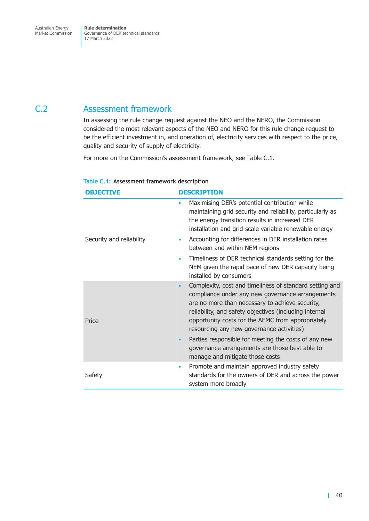# <span id="page-45-0"></span>C.2 Assessment framework

In assessing the rule change request against the NEO and the NERO, the Commission considered the most relevant aspects of the NEO and NERO for this rule change request to be the efficient investment in, and operation of, electricity services with respect to the price, quality and security of supply of electricity.

For more on the Commission's assessment framework, see [Table C.1.](#page-45-1)

| <b>OBJECTIVE</b>         | <b>DESCRIPTION</b>                                                                                                                                                                                                                                                                                                                      |
|--------------------------|-----------------------------------------------------------------------------------------------------------------------------------------------------------------------------------------------------------------------------------------------------------------------------------------------------------------------------------------|
|                          | Maximising DER's potential contribution while<br>$\bullet$<br>maintaining grid security and reliability, particularly as<br>the energy transition results in increased DER<br>installation and grid-scale variable renewable energy                                                                                                     |
| Security and reliability | Accounting for differences in DER installation rates<br>$\bullet$<br>between and within NEM regions                                                                                                                                                                                                                                     |
|                          | Timeliness of DER technical standards setting for the<br>$\bullet$<br>NEM given the rapid pace of new DER capacity being<br>installed by consumers                                                                                                                                                                                      |
| Price                    | Complexity, cost and timeliness of standard setting and<br>$\bullet$<br>compliance under any new governance arrangements<br>are no more than necessary to achieve security,<br>reliability, and safety objectives (including internal<br>opportunity costs for the AEMC from appropriately<br>resourcing any new governance activities) |
|                          | Parties responsible for meeting the costs of any new<br>$\bullet$<br>governance arrangements are those best able to<br>manage and mitigate those costs                                                                                                                                                                                  |
| Safety                   | Promote and maintain approved industry safety<br>$\bullet$<br>standards for the owners of DER and across the power<br>system more broadly                                                                                                                                                                                               |

<span id="page-45-1"></span>

| Table C.1: Assessment framework description |
|---------------------------------------------|
|---------------------------------------------|